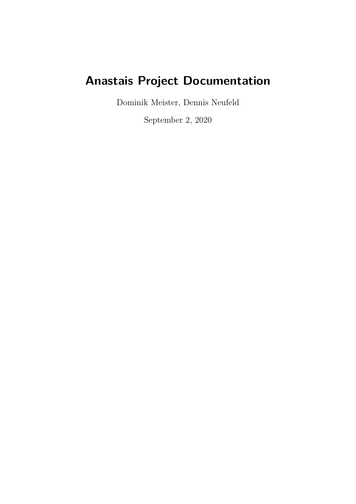# **Anastais Project Documentation**

Dominik Meister, Dennis Neufeld

September 2, 2020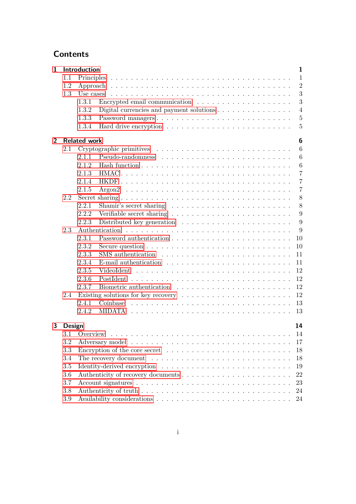# **Contents**

| $\mathbf{1}$   | Introduction<br>$\mathbf{1}$ |                     |                                                                                                 |  |  |  |  |  |  |
|----------------|------------------------------|---------------------|-------------------------------------------------------------------------------------------------|--|--|--|--|--|--|
|                | 1.1                          |                     | $\mathbf{1}$                                                                                    |  |  |  |  |  |  |
|                | 1.2                          |                     | $\overline{2}$                                                                                  |  |  |  |  |  |  |
|                | 1.3                          | Use cases           | 3                                                                                               |  |  |  |  |  |  |
|                |                              | 1.3.1               | 3                                                                                               |  |  |  |  |  |  |
|                |                              | 1.3.2               | Digital currencies and payment solutions $\ldots \ldots \ldots \ldots \ldots$<br>$\overline{4}$ |  |  |  |  |  |  |
|                |                              | 1.3.3               | Password managers<br>$\overline{5}$                                                             |  |  |  |  |  |  |
|                |                              | 1.3.4               | $\overline{5}$                                                                                  |  |  |  |  |  |  |
| $\overline{2}$ |                              | <b>Related work</b> |                                                                                                 |  |  |  |  |  |  |
|                | 2.1                          |                     | 6                                                                                               |  |  |  |  |  |  |
|                |                              | 2.1.1               | 6                                                                                               |  |  |  |  |  |  |
|                |                              | 2.1.2               | $6\phantom{.}6$                                                                                 |  |  |  |  |  |  |
|                |                              | 2.1.3               | $\overline{7}$                                                                                  |  |  |  |  |  |  |
|                |                              | 2.1.4               | $\overline{7}$                                                                                  |  |  |  |  |  |  |
|                |                              | 2.1.5               | $\overline{7}$                                                                                  |  |  |  |  |  |  |
|                | 2.2                          |                     | 8                                                                                               |  |  |  |  |  |  |
|                |                              | 2.2.1               | 8<br>Shamir's secret sharing $\dots \dots \dots \dots \dots \dots \dots \dots \dots$            |  |  |  |  |  |  |
|                |                              | 2.2.2               | 9                                                                                               |  |  |  |  |  |  |
|                |                              | 2.2.3               | 9<br>Distributed key generation $\ldots \ldots \ldots \ldots \ldots \ldots \ldots$              |  |  |  |  |  |  |
|                | 2.3                          |                     | 9                                                                                               |  |  |  |  |  |  |
|                |                              | 2.3.1               | 10                                                                                              |  |  |  |  |  |  |
|                |                              | 2.3.2               | 10                                                                                              |  |  |  |  |  |  |
|                |                              | 2.3.3               | 11                                                                                              |  |  |  |  |  |  |
|                |                              | 2.3.4               | 11                                                                                              |  |  |  |  |  |  |
|                |                              | 2.3.5               | 12                                                                                              |  |  |  |  |  |  |
|                |                              | 2.3.6               | 12<br>PostIdent                                                                                 |  |  |  |  |  |  |
|                |                              | 2.3.7               | 12                                                                                              |  |  |  |  |  |  |
|                | 2.4                          |                     | 12<br>Existing solutions for key recovery $\dots \dots \dots \dots \dots \dots \dots \dots$     |  |  |  |  |  |  |
|                |                              | 2.4.1               | 13                                                                                              |  |  |  |  |  |  |
|                |                              | 2.4.2               | <b>MIDATA</b><br>13                                                                             |  |  |  |  |  |  |
| 3              | 14<br>Design                 |                     |                                                                                                 |  |  |  |  |  |  |
|                |                              | 3.1 Overview        | 14                                                                                              |  |  |  |  |  |  |
|                | 3.2                          |                     | 17                                                                                              |  |  |  |  |  |  |
|                | 3.3                          |                     | Encryption of the core secret $\dots \dots \dots \dots \dots \dots \dots \dots \dots$<br>18     |  |  |  |  |  |  |
|                | 3.4                          | 18                  |                                                                                                 |  |  |  |  |  |  |
|                | 3.5                          | 19                  |                                                                                                 |  |  |  |  |  |  |
|                | 3.6                          | 22                  |                                                                                                 |  |  |  |  |  |  |
|                | 3.7                          |                     | 23                                                                                              |  |  |  |  |  |  |
|                | 3.8                          |                     | 24                                                                                              |  |  |  |  |  |  |
|                | $3.9\,$                      |                     | 24                                                                                              |  |  |  |  |  |  |
|                |                              |                     |                                                                                                 |  |  |  |  |  |  |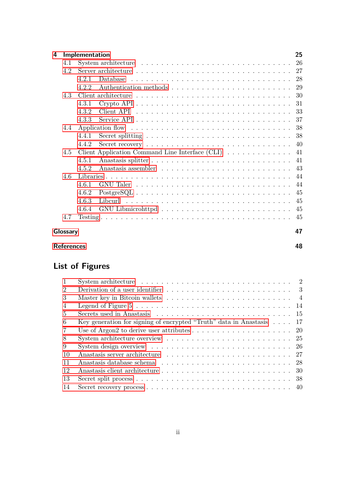| 4        |     | Implementation |                                                                                                                                                                                                                                                                                                                                                                                                                             | 25  |  |  |  |  |
|----------|-----|----------------|-----------------------------------------------------------------------------------------------------------------------------------------------------------------------------------------------------------------------------------------------------------------------------------------------------------------------------------------------------------------------------------------------------------------------------|-----|--|--|--|--|
|          | 4.1 |                |                                                                                                                                                                                                                                                                                                                                                                                                                             | 26  |  |  |  |  |
|          | 4.2 |                |                                                                                                                                                                                                                                                                                                                                                                                                                             | 27  |  |  |  |  |
|          |     | 4.2.1          | Database                                                                                                                                                                                                                                                                                                                                                                                                                    | 28  |  |  |  |  |
|          |     | 4.2.2          |                                                                                                                                                                                                                                                                                                                                                                                                                             | 29  |  |  |  |  |
|          | 4.3 |                |                                                                                                                                                                                                                                                                                                                                                                                                                             | 30  |  |  |  |  |
|          |     | 4.3.1          |                                                                                                                                                                                                                                                                                                                                                                                                                             | 31  |  |  |  |  |
|          |     | 4.3.2          |                                                                                                                                                                                                                                                                                                                                                                                                                             | 33  |  |  |  |  |
|          |     | 4.3.3          |                                                                                                                                                                                                                                                                                                                                                                                                                             | 37  |  |  |  |  |
|          | 4.4 |                |                                                                                                                                                                                                                                                                                                                                                                                                                             | 38  |  |  |  |  |
|          |     | 4.4.1          | Secret splitting $\ldots \ldots \ldots \ldots \ldots \ldots \ldots \ldots \ldots \ldots$                                                                                                                                                                                                                                                                                                                                    | 38  |  |  |  |  |
|          |     | 4.4.2          | Secret recovery $\ldots \ldots \ldots \ldots \ldots \ldots \ldots \ldots \ldots \ldots$                                                                                                                                                                                                                                                                                                                                     | -40 |  |  |  |  |
|          | 4.5 |                | Client Application Command Line Interface $(CLI)$                                                                                                                                                                                                                                                                                                                                                                           | 41  |  |  |  |  |
|          |     | 4.5.1          |                                                                                                                                                                                                                                                                                                                                                                                                                             | 41  |  |  |  |  |
|          |     | 4.5.2          |                                                                                                                                                                                                                                                                                                                                                                                                                             |     |  |  |  |  |
|          | 4.6 |                |                                                                                                                                                                                                                                                                                                                                                                                                                             | 44  |  |  |  |  |
|          |     | 4.6.1          |                                                                                                                                                                                                                                                                                                                                                                                                                             | 44  |  |  |  |  |
|          |     | 4.6.2          | $PostgreSQL \n\t\ldots \n\t\ldots \n\t\ldots \n\t\ldots \n\t\ldots \n\t\ldots \n\t\ldots \n\t\ldots \n\t\ldots \n\t\ldots \n\t\ldots \n\t\ldots \n\t\ldots \n\t\ldots \n\t\ldots \n\t\ldots \n\t\ldots \n\t\ldots \n\t\ldots \n\t\ldots \n\t\ldots \n\t\ldots \n\t\ldots \n\t\ldots \n\t\ldots \n\t\ldots \n\t\ldots \n\t\ldots \n\t\ldots \n\t\ldots \n\t\ldots \n\t\ldots \n\t\ldots \n\t\ldots \n\t\ldots \n\t\ldots \n$ | 45  |  |  |  |  |
|          |     | 4.6.3          |                                                                                                                                                                                                                                                                                                                                                                                                                             | 45  |  |  |  |  |
|          |     | 4.6.4          |                                                                                                                                                                                                                                                                                                                                                                                                                             | 45  |  |  |  |  |
|          | 4.7 |                |                                                                                                                                                                                                                                                                                                                                                                                                                             | 45  |  |  |  |  |
| Glossary |     |                |                                                                                                                                                                                                                                                                                                                                                                                                                             |     |  |  |  |  |

# **[References](#page-50-0) 48**

# **List of Figures**

| $\mathbf{1}$   | System architecture $\ldots \ldots \ldots \ldots \ldots \ldots \ldots \ldots \ldots \ldots$         |     |
|----------------|-----------------------------------------------------------------------------------------------------|-----|
| $\overline{2}$ |                                                                                                     |     |
| 3              |                                                                                                     |     |
| $\overline{4}$ | Legend of Figure $5 \ldots \ldots \ldots \ldots \ldots \ldots \ldots \ldots \ldots \ldots$          |     |
| $\frac{5}{2}$  |                                                                                                     |     |
| 6              | Key generation for signing of encrypted "Truth" data in Anastasis $\ldots$ 17                       |     |
| 7              |                                                                                                     | -20 |
| 8              | System architecture overview $\ldots \ldots \ldots \ldots \ldots \ldots \ldots \ldots$              | -25 |
| 9              | System design overview $\dots \dots \dots \dots \dots \dots \dots \dots \dots \dots \dots \dots$ 26 |     |
| 10             |                                                                                                     |     |
| 11             |                                                                                                     |     |
| 12             |                                                                                                     |     |
| -13            |                                                                                                     |     |
| 14             |                                                                                                     |     |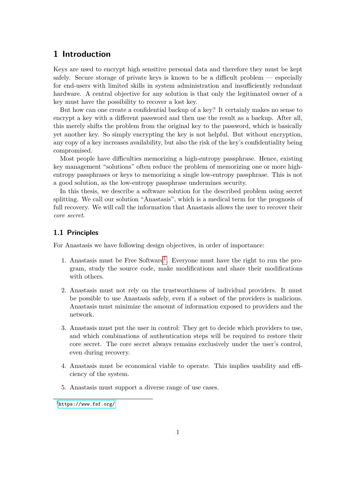# <span id="page-3-0"></span>**1 Introduction**

Keys are used to encrypt high sensitive personal data and therefore they must be kept safely. Secure storage of private keys is known to be a difficult problem — especially for end-users with limited skills in system administration and insufficiently redundant hardware. A central objective for any solution is that only the legitimated owner of a key must have the possibility to recover a lost key.

But how can one create a confidential backup of a key? It certainly makes no sense to encrypt a key with a different password and then use the result as a backup. After all, this merely shifts the problem from the original key to the password, which is basically yet another key. So simply encrypting the key is not helpful. But without encryption, any copy of a key increases availability, but also the risk of the key's confidentiality being compromised.

Most people have difficulties memorizing a high-entropy passphrase. Hence, existing key management "solutions" often reduce the problem of memorizing one or more highentropy passphrases or keys to memorizing a single low-entropy passphrase. This is not a good solution, as the low-entropy passphrase undermines security.

In this thesis, we describe a software solution for the described problem using secret splitting. We call our solution "Anastasis", which is a medical term for the prognosis of full recovery. We will call the information that Anastasis allows the user to recover their *core secret*.

# <span id="page-3-1"></span>**1.1 Principles**

For Anastasis we have following design objectives, in order of importance:

- [1](#page-3-2). Anastasis must be Free Software<sup>1</sup>. Everyone must have the right to run the program, study the source code, make modifications and share their modifications with others.
- 2. Anastasis must not rely on the trustworthiness of individual providers. It must be possible to use Anastasis safely, even if a subset of the providers is malicious. Anastasis must minimize the amount of information exposed to providers and the network.
- 3. Anastasis must put the user in control: They get to decide which providers to use, and which combinations of authentication steps will be required to restore their core secret. The core secret always remains exclusively under the user's control, even during recovery.
- 4. Anastasis must be economical viable to operate. This implies usability and efficiency of the system.
- 5. Anastasis must support a diverse range of use cases.

<span id="page-3-2"></span> $1$ <https://www.fsf.org/>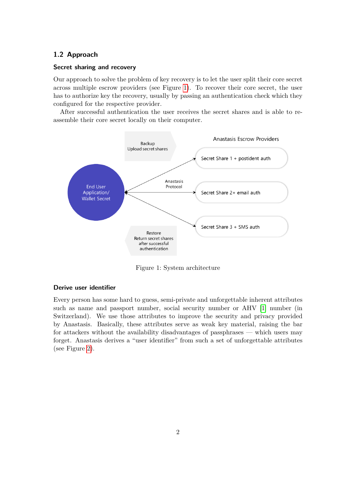# <span id="page-4-0"></span>**1.2 Approach**

### **Secret sharing and recovery**

Our approach to solve the problem of key recovery is to let the user split their core secret across multiple escrow providers (see Figure [1\)](#page-4-1). To recover their core secret, the user has to authorize key the recovery, usually by passing an authentication check which they configured for the respective provider.

After successful authentication the user receives the secret shares and is able to reassemble their core secret locally on their computer.



<span id="page-4-1"></span>Figure 1: System architecture

### **Derive user identifier**

Every person has some hard to guess, semi-private and unforgettable inherent attributes such as name and passport number, social security number or AHV [\[1\]](#page-50-1) number (in Switzerland). We use those attributes to improve the security and privacy provided by Anastasis. Basically, these attributes serve as weak key material, raising the bar for attackers without the availability disadvantages of passphrases — which users may forget. Anastasis derives a "user identifier" from such a set of unforgettable attributes (see Figure [2\)](#page-5-2).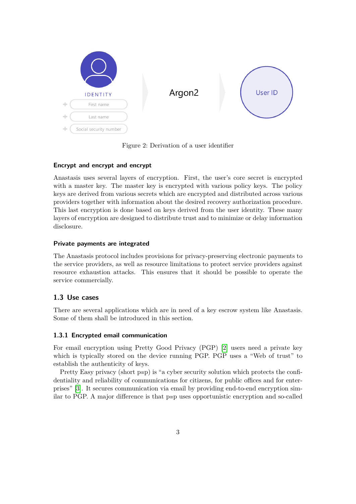

Figure 2: Derivation of a user identifier

# <span id="page-5-2"></span>**Encrypt and encrypt and encrypt**

Anastasis uses several layers of encryption. First, the user's core secret is encrypted with a master key. The master key is encrypted with various policy keys. The policy keys are derived from various secrets which are encrypted and distributed across various providers together with information about the desired recovery authorization procedure. This last encryption is done based on keys derived from the user identity. These many layers of encryption are designed to distribute trust and to minimize or delay information disclosure.

# **Private payments are integrated**

The Anastasis protocol includes provisions for privacy-preserving electronic payments to the service providers, as well as resource limitations to protect service providers against resource exhaustion attacks. This ensures that it should be possible to operate the service commercially.

# <span id="page-5-0"></span>**1.3 Use cases**

There are several applications which are in need of a key escrow system like Anastasis. Some of them shall be introduced in this section.

# <span id="page-5-1"></span>**1.3.1 Encrypted email communication**

For email encryption using Pretty Good Privacy (PGP) [\[2\]](#page-50-2) users need a private key which is typically stored on the device running PGP. PGP uses a "Web of trust" to establish the authenticity of keys.

Pretty Easy privacy (short p≡p) is "a cyber security solution which protects the confidentiality and reliability of communications for citizens, for public offices and for enterprises" [\[3\]](#page-50-3). It secures communication via email by providing end-to-end encryption similar to PGP. A major difference is that p≡p uses opportunistic encryption and so-called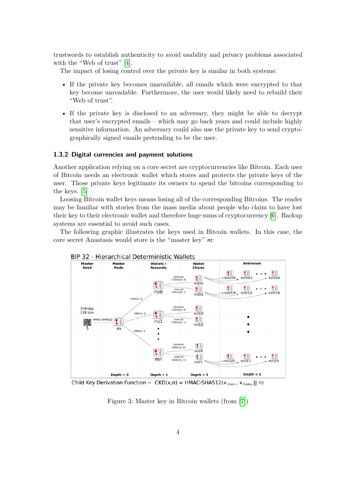trustwords to establish authenticity to avoid usability and privacy problems associated with the "Web of trust" [\[4\]](#page-50-4).

The impact of losing control over the private key is similar in both systems:

- If the private key becomes unavailable, all emails which were encrypted to that key become unreadable. Furthermore, the user would likely need to rebuild their "Web of trust".
- If the private key is disclosed to an adversary, they might be able to decrypt that user's encrypted emails – which may go back years and could include highly sensitive information. An adversary could also use the private key to send cryptographically signed emails pretending to be the user.

### <span id="page-6-0"></span>**1.3.2 Digital currencies and payment solutions**

Another application relying on a core secret are cryptocurrencies like Bitcoin. Each user of Bitcoin needs an electronic wallet which stores and protects the private keys of the user. Those private keys legitimate its owners to spend the bitcoins corresponding to the keys. [\[5\]](#page-50-5)

Loosing Bitcoin wallet keys means losing all of the corresponding Bitcoins. The reader may be familiar with stories from the mass media about people who claim to have lost their key to their electronic wallet and therefore huge sums of cryptocurrency [\[6\]](#page-50-6). Backup systems are essential to avoid such cases.

The following graphic illustrates the keys used in Bitcoin wallets. In this case, the core secret Anastasis would store is the "master key" *m*:



Child Key Derivation Function ~  $CKD(x,n) = HMAC-SHA512(x_{chain}, x_{PutKey} || n)$ 

<span id="page-6-1"></span>Figure 3: Master key in Bitcoin wallets (from [\[7\]](#page-50-7))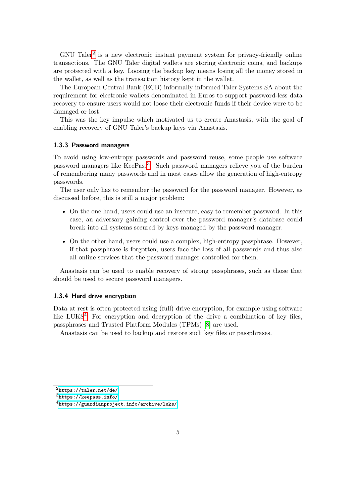$GNU$  Taler<sup>[2](#page-7-2)</sup> is a new electronic instant payment system for privacy-friendly online transactions. The GNU Taler digital wallets are storing electronic coins, and backups are protected with a key. Loosing the backup key means losing all the money stored in the wallet, as well as the transaction history kept in the wallet.

The European Central Bank (ECB) informally informed Taler Systems SA about the requirement for electronic wallets denominated in Euros to support password-less data recovery to ensure users would not loose their electronic funds if their device were to be damaged or lost.

This was the key impulse which motivated us to create Anastasis, with the goal of enabling recovery of GNU Taler's backup keys via Anastasis.

### <span id="page-7-0"></span>**1.3.3 Password managers**

To avoid using low-entropy passwords and password reuse, some people use software password managers like KeePass<sup>[3](#page-7-3)</sup>. Such password managers relieve you of the burden of remembering many passwords and in most cases allow the generation of high-entropy passwords.

The user only has to remember the password for the password manager. However, as discussed before, this is still a major problem:

- On the one hand, users could use an insecure, easy to remember password. In this case, an adversary gaining control over the password manager's database could break into all systems secured by keys managed by the password manager.
- On the other hand, users could use a complex, high-entropy passphrase. However, if that passphrase is forgotten, users face the loss of all passwords and thus also all online services that the password manager controlled for them.

Anastasis can be used to enable recovery of strong passphrases, such as those that should be used to secure password managers.

### <span id="page-7-1"></span>**1.3.4 Hard drive encryption**

Data at rest is often protected using (full) drive encryption, for example using software like LUKS<sup>[4](#page-7-4)</sup>. For encryption and decryption of the drive a combination of key files, passphrases and Trusted Platform Modules (TPMs) [\[8\]](#page-50-8) are used.

Anastasis can be used to backup and restore such key files or passphrases.

<span id="page-7-2"></span> $^{2}$ <https://taler.net/de/>

<span id="page-7-3"></span> $3$ <https://keepass.info/>

<span id="page-7-4"></span><sup>4</sup><https://guardianproject.info/archive/luks/>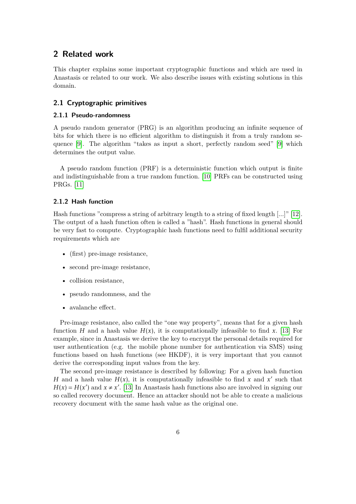# <span id="page-8-0"></span>**2 Related work**

This chapter explains some important cryptographic functions and which are used in Anastasis or related to our work. We also describe issues with existing solutions in this domain.

# <span id="page-8-1"></span>**2.1 Cryptographic primitives**

### <span id="page-8-2"></span>**2.1.1 Pseudo-randomness**

A pseudo random generator (PRG) is an algorithm producing an infinite sequence of bits for which there is no efficient algorithm to distinguish it from a truly random sequence [\[9\]](#page-50-9). The algorithm "takes as input a short, perfectly random seed" [\[9\]](#page-50-9) which determines the output value.

A pseudo random function (PRF) is a deterministic function which output is finite and indistinguishable from a true random function. [\[10\]](#page-50-10) PRFs can be constructed using PRGs. [\[11\]](#page-50-11)

### <span id="page-8-3"></span>**2.1.2 Hash function**

Hash functions "compress a string of arbitrary length to a string of fixed length [...]" [\[12\]](#page-50-12). The output of a hash function often is called a "hash". Hash functions in general should be very fast to compute. Cryptographic hash functions need to fulfil additional security requirements which are

- (first) pre-image resistance,
- second pre-image resistance,
- collision resistance,
- pseudo randomness, and the
- avalanche effect.

Pre-image resistance, also called the "one way property", means that for a given hash function *H* and a hash value  $H(x)$ , it is computationally infeasible to find x. [\[13\]](#page-50-13) For example, since in Anastasis we derive the key to encrypt the personal details required for user authentication (e.g. the mobile phone number for authentication via SMS) using functions based on hash functions (see HKDF), it is very important that you cannot derive the corresponding input values from the key.

The second pre-image resistance is described by following: For a given hash function *H* and a hash value  $H(x)$ , it is computationally infeasible to find x and x' such that  $H(x) = H(x')$  and  $x \neq x'$ . [\[13\]](#page-50-13) In Anastasis hash functions also are involved in signing our so called recovery document. Hence an attacker should not be able to create a malicious recovery document with the same hash value as the original one.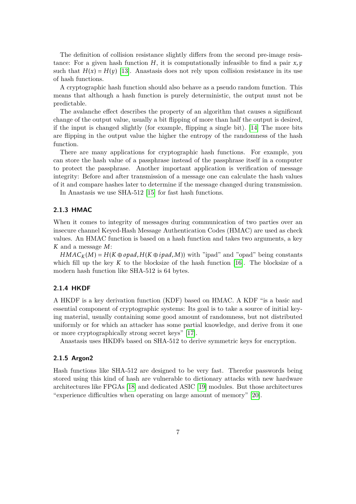The definition of collision resistance slightly differs from the second pre-image resistance: For a given hash function  $H$ , it is computationally infeasible to find a pair  $x, y$ such that  $H(x) = H(y)$  [\[13\]](#page-50-13). Anastasis does not rely upon collision resistance in its use of hash functions.

A cryptographic hash function should also behave as a pseudo random function. This means that although a hash function is purely deterministic, the output must not be predictable.

The avalanche effect describes the property of an algorithm that causes a significant change of the output value, usually a bit flipping of more than half the output is desired, if the input is changed slightly (for example, flipping a single bit). [\[14\]](#page-51-0) The more bits are flipping in the output value the higher the entropy of the randomness of the hash function.

There are many applications for cryptographic hash functions. For example, you can store the hash value of a passphrase instead of the passphrase itself in a computer to protect the passphrase. Another important application is verification of message integrity: Before and after transmission of a message one can calculate the hash values of it and compare hashes later to determine if the message changed during transmission.

In Anastasis we use SHA-512 [\[15\]](#page-51-1) for fast hash functions.

### <span id="page-9-0"></span>**2.1.3 HMAC**

When it comes to integrity of messages during communication of two parties over an insecure channel Keyed-Hash Message Authentication Codes (HMAC) are used as check values. An HMAC function is based on a hash function and takes two arguments, a key *K* and a message *M*:

 $HMAC<sub>K</sub>(M) = H(K \oplus opad, H(K \oplus ipad, M))$  with "ipad" and "opad" being constants which fill up the key  $K$  to the blocksize of the hash function  $[16]$ . The blocksize of a modern hash function like SHA-512 is 64 bytes.

# <span id="page-9-1"></span>**2.1.4 HKDF**

A HKDF is a key derivation function (KDF) based on HMAC. A KDF "is a basic and essential component of cryptographic systems: Its goal is to take a source of initial keying material, usually containing some good amount of randomness, but not distributed uniformly or for which an attacker has some partial knowledge, and derive from it one or more cryptographically strong secret keys" [\[17\]](#page-51-3).

Anastasis uses HKDFs based on SHA-512 to derive symmetric keys for encryption.

### <span id="page-9-2"></span>**2.1.5 Argon2**

Hash functions like SHA-512 are designed to be very fast. Therefor passwords being stored using this kind of hash are vulnerable to dictionary attacks with new hardware architectures like FPGAs [\[18\]](#page-51-4) and dedicated ASIC [\[19\]](#page-51-5) modules. But those architectures "experience difficulties when operating on large amount of memory" [\[20\]](#page-51-6).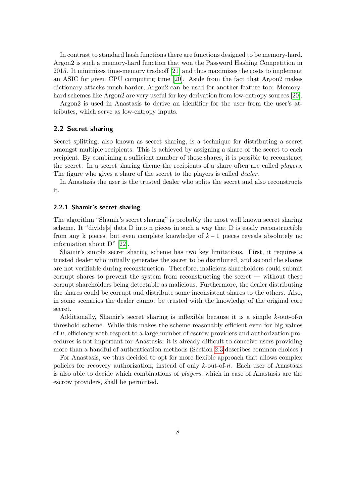In contrast to standard hash functions there are functions designed to be memory-hard. Argon2 is such a memory-hard function that won the Password Hashing Competition in 2015. It minimizes time-memory tradeoff [\[21\]](#page-51-7) and thus maximizes the costs to implement an ASIC for given CPU computing time [\[20\]](#page-51-6). Aside from the fact that Argon2 makes dictionary attacks much harder, Argon2 can be used for another feature too: Memoryhard schemes like Argon2 are very useful for key derivation from low-entropy sources [\[20\]](#page-51-6).

Argon2 is used in Anastasis to derive an identifier for the user from the user's attributes, which serve as low-entropy inputs.

### <span id="page-10-0"></span>**2.2 Secret sharing**

Secret splitting, also known as secret sharing, is a technique for distributing a secret amongst multiple recipients. This is achieved by assigning a share of the secret to each recipient. By combining a sufficient number of those shares, it is possible to reconstruct the secret. In a secret sharing theme the recipients of a share often are called *players*. The figure who gives a share of the secret to the players is called *dealer*.

In Anastasis the user is the trusted dealer who splits the secret and also reconstructs it.

### <span id="page-10-1"></span>**2.2.1 Shamir's secret sharing**

The algorithm "Shamir's secret sharing" is probably the most well known secret sharing scheme. It "divide[s] data D into n pieces in such a way that D is easily reconstructible from any k pieces, but even complete knowledge of *k* − 1 pieces reveals absolutely no information about D" [\[22\]](#page-51-8).

Shamir's simple secret sharing scheme has two key limitations. First, it requires a trusted dealer who initially generates the secret to be distributed, and second the shares are not verifiable during reconstruction. Therefore, malicious shareholders could submit corrupt shares to prevent the system from reconstructing the secret — without these corrupt shareholders being detectable as malicious. Furthermore, the dealer distributing the shares could be corrupt and distribute some inconsistent shares to the others. Also, in some scenarios the dealer cannot be trusted with the knowledge of the original core secret.

Additionally, Shamir's secret sharing is inflexible because it is a simple *k*-out-of-*n* threshold scheme. While this makes the scheme reasonably efficient even for big values of *n*, efficiency with respect to a large number of escrow providers and authorization procedures is not important for Anastasis: it is already difficult to conceive users providing more than a handful of authentication methods (Section [2.3](#page-11-2) describes common choices.)

For Anastasis, we thus decided to opt for more flexible approach that allows complex policies for recovery authorization, instead of only *k*-out-of-*n*. Each user of Anastasis is also able to decide which combinations of *players*, which in case of Anastasis are the escrow providers, shall be permitted.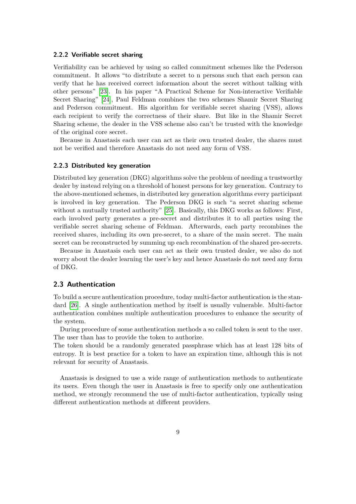### <span id="page-11-0"></span>**2.2.2 Verifiable secret sharing**

Verifiability can be achieved by using so called commitment schemes like the Pederson commitment. It allows "to distribute a secret to n persons such that each person can verify that he has received correct information about the secret without talking with other persons" [\[23\]](#page-51-9). In his paper "A Practical Scheme for Non-interactive Verifiable Secret Sharing" [\[24\]](#page-51-10), Paul Feldman combines the two schemes Shamir Secret Sharing and Pederson commitment. His algorithm for verifiable secret sharing (VSS), allows each recipient to verify the correctness of their share. But like in the Shamir Secret Sharing scheme, the dealer in the VSS scheme also can't be trusted with the knowledge of the original core secret.

Because in Anastasis each user can act as their own trusted dealer, the shares must not be verified and therefore Anastasis do not need any form of VSS.

### <span id="page-11-1"></span>**2.2.3 Distributed key generation**

Distributed key generation (DKG) algorithms solve the problem of needing a trustworthy dealer by instead relying on a threshold of honest persons for key generation. Contrary to the above-mentioned schemes, in distributed key generation algorithms every participant is involved in key generation. The Pederson DKG is such "a secret sharing scheme without a mutually trusted authority" [\[25\]](#page-51-11). Basically, this DKG works as follows: First, each involved party generates a pre-secret and distributes it to all parties using the verifiable secret sharing scheme of Feldman. Afterwards, each party recombines the received shares, including its own pre-secret, to a share of the main secret. The main secret can be reconstructed by summing up each recombination of the shared pre-secrets.

Because in Anastasis each user can act as their own trusted dealer, we also do not worry about the dealer learning the user's key and hence Anastasis do not need any form of DKG.

### <span id="page-11-2"></span>**2.3 Authentication**

To build a secure authentication procedure, today multi-factor authentication is the standard [\[26\]](#page-51-12). A single authentication method by itself is usually vulnerable. Multi-factor authentication combines multiple authentication procedures to enhance the security of the system.

During procedure of some authentication methods a so called token is sent to the user. The user than has to provide the token to authorize.

The token should be a randomly generated passphrase which has at least 128 bits of entropy. It is best practice for a token to have an expiration time, although this is not relevant for security of Anastasis.

Anastasis is designed to use a wide range of authentication methods to authenticate its users. Even though the user in Anastasis is free to specify only one authentication method, we strongly recommend the use of multi-factor authentication, typically using different authentication methods at different providers.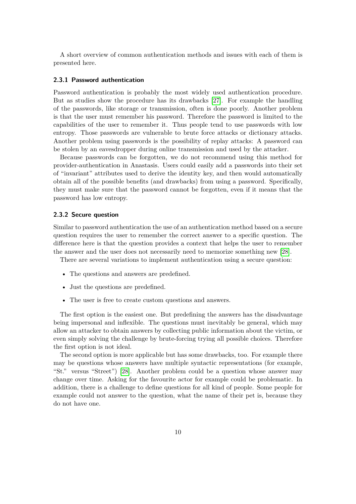A short overview of common authentication methods and issues with each of them is presented here.

#### <span id="page-12-0"></span>**2.3.1 Password authentication**

Password authentication is probably the most widely used authentication procedure. But as studies show the procedure has its drawbacks [\[27\]](#page-51-13). For example the handling of the passwords, like storage or transmission, often is done poorly. Another problem is that the user must remember his password. Therefore the password is limited to the capabilities of the user to remember it. Thus people tend to use passwords with low entropy. Those passwords are vulnerable to brute force attacks or dictionary attacks. Another problem using passwords is the possibility of replay attacks: A password can be stolen by an eavesdropper during online transmission and used by the attacker.

Because passwords can be forgotten, we do not recommend using this method for provider-authentication in Anastasis. Users could easily add a passwords into their set of "invariant" attributes used to derive the identity key, and then would automatically obtain all of the possible benefits (and drawbacks) from using a password. Specifically, they must make sure that the password cannot be forgotten, even if it means that the password has low entropy.

### <span id="page-12-1"></span>**2.3.2 Secure question**

Similar to password authentication the use of an authentication method based on a secure question requires the user to remember the correct answer to a specific question. The difference here is that the question provides a context that helps the user to remember the answer and the user does not necessarily need to memorize something new [\[28\]](#page-51-14).

There are several variations to implement authentication using a secure question:

- The questions and answers are predefined.
- Just the questions are predefined.
- The user is free to create custom questions and answers.

The first option is the easiest one. But predefining the answers has the disadvantage being impersonal and inflexible. The questions must inevitably be general, which may allow an attacker to obtain answers by collecting public information about the victim, or even simply solving the challenge by brute-forcing trying all possible choices. Therefore the first option is not ideal.

The second option is more applicable but has some drawbacks, too. For example there may be questions whose answers have multiple syntactic representations (for example, "St." versus "Street") [\[28\]](#page-51-14). Another problem could be a question whose answer may change over time. Asking for the favourite actor for example could be problematic. In addition, there is a challenge to define questions for all kind of people. Some people for example could not answer to the question, what the name of their pet is, because they do not have one.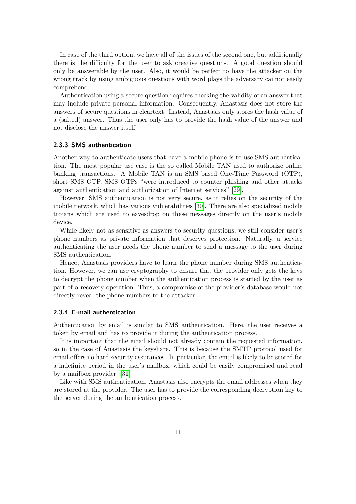In case of the third option, we have all of the issues of the second one, but additionally there is the difficulty for the user to ask creative questions. A good question should only be answerable by the user. Also, it would be perfect to have the attacker on the wrong track by using ambiguous questions with word plays the adversary cannot easily comprehend.

Authentication using a secure question requires checking the validity of an answer that may include private personal information. Consequently, Anastasis does not store the answers of secure questions in cleartext. Instead, Anastasis only stores the hash value of a (salted) answer. Thus the user only has to provide the hash value of the answer and not disclose the answer itself.

### <span id="page-13-0"></span>**2.3.3 SMS authentication**

Another way to authenticate users that have a mobile phone is to use SMS authentication. The most popular use case is the so called Mobile TAN used to authorize online banking transactions. A Mobile TAN is an SMS based One-Time Password (OTP), short SMS OTP. SMS OTPs "were introduced to counter phishing and other attacks against authentication and authorization of Internet services" [\[29\]](#page-52-0).

However, SMS authentication is not very secure, as it relies on the security of the mobile network, which has various vulnerabilities [\[30\]](#page-52-1). There are also specialized mobile trojans which are used to eavesdrop on these messages directly on the user's mobile device.

While likely not as sensitive as answers to security questions, we still consider user's phone numbers as private information that deserves protection. Naturally, a service authenticating the user needs the phone number to send a message to the user during SMS authentication.

Hence, Anastasis providers have to learn the phone number during SMS authentication. However, we can use cryptography to ensure that the provider only gets the keys to decrypt the phone number when the authentication process is started by the user as part of a recovery operation. Thus, a compromise of the provider's database would not directly reveal the phone numbers to the attacker.

### <span id="page-13-1"></span>**2.3.4 E-mail authentication**

Authentication by email is similar to SMS authentication. Here, the user receives a token by email and has to provide it during the authentication process.

It is important that the email should not already contain the requested information, so in the case of Anastasis the keyshare. This is because the SMTP protocol used for email offers no hard security assurances. In particular, the email is likely to be stored for a indefinite period in the user's mailbox, which could be easily compromised and read by a mailbox provider. [\[31\]](#page-52-2)

Like with SMS authentication, Anastasis also encrypts the email addresses when they are stored at the provider. The user has to provide the corresponding decryption key to the server during the authentication process.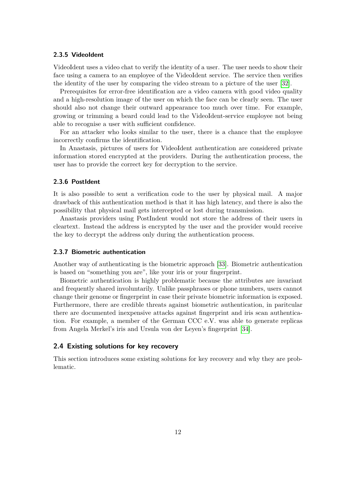### <span id="page-14-0"></span>**2.3.5 VideoIdent**

VideoIdent uses a video chat to verify the identity of a user. The user needs to show their face using a camera to an employee of the VideoIdent service. The service then verifies the identity of the user by comparing the video stream to a picture of the user [\[32\]](#page-52-3).

Prerequisites for error-free identification are a video camera with good video quality and a high-resolution image of the user on which the face can be clearly seen. The user should also not change their outward appearance too much over time. For example, growing or trimming a beard could lead to the VideoIdent-service employee not being able to recognise a user with sufficient confidence.

For an attacker who looks similar to the user, there is a chance that the employee incorrectly confirms the identification.

In Anastasis, pictures of users for VideoIdent authentication are considered private information stored encrypted at the providers. During the authentication process, the user has to provide the correct key for decryption to the service.

### <span id="page-14-1"></span>**2.3.6 PostIdent**

It is also possible to sent a verification code to the user by physical mail. A major drawback of this authentication method is that it has high latency, and there is also the possibility that physical mail gets intercepted or lost during transmission.

Anastasis providers using PostIndent would not store the address of their users in cleartext. Instead the address is encrypted by the user and the provider would receive the key to decrypt the address only during the authentication process.

### <span id="page-14-2"></span>**2.3.7 Biometric authentication**

Another way of authenticating is the biometric approach [\[33\]](#page-52-4). Biometric authentication is based on "something you are", like your iris or your fingerprint.

Biometric authentication is highly problematic because the attributes are invariant and frequently shared involuntarily. Unlike passphrases or phone numbers, users cannot change their genome or fingerprint in case their private biometric information is exposed. Furthermore, there are credible threats against biometric authentication, in paritcular there are documented inexpensive attacks against fingerprint and iris scan authentication. For example, a member of the German CCC e.V. was able to generate replicas from Angela Merkel's iris and Ursula von der Leyen's fingerprint [\[34\]](#page-52-5).

### <span id="page-14-3"></span>**2.4 Existing solutions for key recovery**

This section introduces some existing solutions for key recovery and why they are problematic.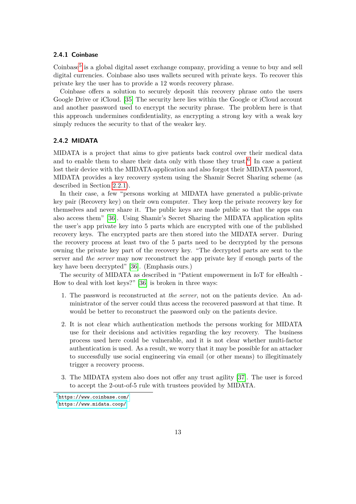### <span id="page-15-0"></span>**2.4.1 Coinbase**

Coinbase<sup>[5](#page-15-2)</sup> is a global digital asset exchange company, providing a venue to buy and sell digital currencies. Coinbase also uses wallets secured with private keys. To recover this private key the user has to provide a 12 words recovery phrase.

Coinbase offers a solution to securely deposit this recovery phrase onto the users Google Drive or iCloud. [\[35\]](#page-52-6) The security here lies within the Google or iCloud account and another password used to encrypt the security phrase. The problem here is that this approach undermines confidentiality, as encrypting a strong key with a weak key simply reduces the security to that of the weaker key.

# <span id="page-15-1"></span>**2.4.2 MIDATA**

MIDATA is a project that aims to give patients back control over their medical data and to enable them to share their data only with those they trust.<sup>[6](#page-15-3)</sup> In case a patient lost their device with the MIDATA-application and also forgot their MIDATA password, MIDATA provides a key recovery system using the Shamir Secret Sharing scheme (as described in Section [2.2.1\)](#page-10-1).

In their case, a few "persons working at MIDATA have generated a public-private key pair (Recovery key) on their own computer. They keep the private recovery key for themselves and never share it. The public keys are made public so that the apps can also access them" [\[36\]](#page-52-7). Using Shamir's Secret Sharing the MIDATA application splits the user's app private key into 5 parts which are encrypted with one of the published recovery keys. The encrypted parts are then stored into the MIDATA server. During the recovery process at least two of the 5 parts need to be decrypted by the persons owning the private key part of the recovery key. "The decrypted parts are sent to the server and *the server* may now reconstruct the app private key if enough parts of the key have been decrypted" [\[36\]](#page-52-7). (Emphasis ours.)

The security of MIDATA as described in "Patient empowerment in IoT for eHealth - How to deal with lost keys?" [\[36\]](#page-52-7) is broken in three ways:

- 1. The password is reconstructed at *the server*, not on the patients device. An administrator of the server could thus access the recovered password at that time. It would be better to reconstruct the password only on the patients device.
- 2. It is not clear which authentication methods the persons working for MIDATA use for their decisions and activities regarding the key recovery. The business process used here could be vulnerable, and it is not clear whether multi-factor authentication is used. As a result, we worry that it may be possible for an attacker to successfully use social engineering via email (or other means) to illegitimately trigger a recovery process.
- 3. The MIDATA system also does not offer any trust agility [\[37\]](#page-52-8). The user is forced to accept the 2-out-of-5 rule with trustees provided by MIDATA.

<span id="page-15-3"></span><span id="page-15-2"></span> $5$ <https://www.coinbase.com/>  $6$ <https://www.midata.coop/>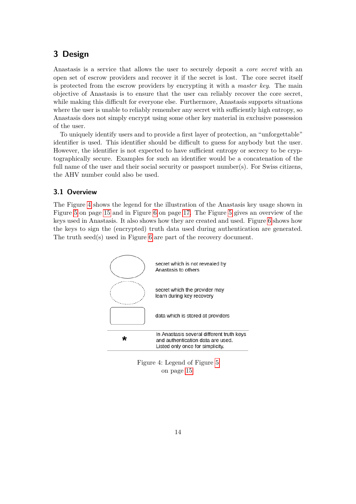# <span id="page-16-0"></span>**3 Design**

Anastasis is a service that allows the user to securely deposit a *core secret* with an open set of escrow providers and recover it if the secret is lost. The core secret itself is protected from the escrow providers by encrypting it with a *master key*. The main objective of Anastasis is to ensure that the user can reliably recover the core secret, while making this difficult for everyone else. Furthermore, Anastasis supports situations where the user is unable to reliably remember any secret with sufficiently high entropy, so Anastasis does not simply encrypt using some other key material in exclusive possession of the user.

To uniquely identify users and to provide a first layer of protection, an "unforgettable" identifier is used. This identifier should be difficult to guess for anybody but the user. However, the identifier is not expected to have sufficient entropy or secrecy to be cryptographically secure. Examples for such an identifier would be a concatenation of the full name of the user and their social security or passport number(s). For Swiss citizens, the AHV number could also be used.

# <span id="page-16-1"></span>**3.1 Overview**

The Figure [4](#page-16-2) shows the legend for the illustration of the Anastasis key usage shown in Figure [5](#page-17-0) on page [15](#page-17-0) and in Figure [6](#page-19-1) on page [17.](#page-19-1) The Figure [5](#page-17-0) gives an overview of the keys used in Anastasis. It also shows how they are created and used. Figure [6](#page-19-1) shows how the keys to sign the (encrypted) truth data used during authentication are generated. The truth seed(s) used in Figure [6](#page-19-1) are part of the recovery document.



<span id="page-16-2"></span>Figure 4: Legend of Figure [5](#page-17-0) on page [15](#page-17-0)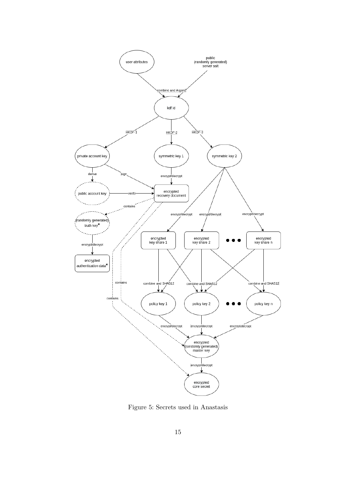

<span id="page-17-0"></span>Figure 5: Secrets used in Anastasis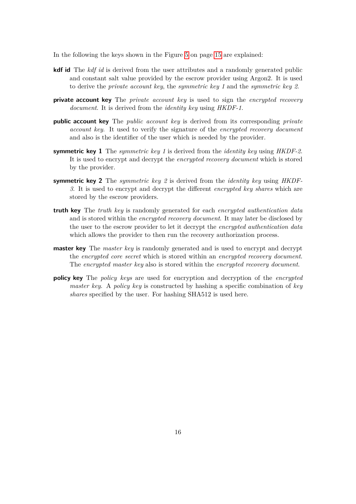In the following the keys shown in the Figure [5](#page-17-0) on page [15](#page-17-0) are explained:

- **kdf id** The *kdf id* is derived from the user attributes and a randomly generated public and constant salt value provided by the escrow provider using Argon2. It is used to derive the *private account key*, the *symmetric key 1* and the *symmetric key 2*.
- **private account key** The *private account key* is used to sign the *encrypted recovery document*. It is derived from the *identity key* using *HKDF-1*.
- **public account key** The *public account key* is derived from its corresponding *private account key*. It used to verify the signature of the *encrypted recovery document* and also is the identifier of the user which is needed by the provider.
- **symmetric key 1** The *symmetric key 1* is derived from the *identity key* using *HKDF-2*. It is used to encrypt and decrypt the *encrypted recovery document* which is stored by the provider.
- **symmetric key 2** The *symmetric key 2* is derived from the *identity key* using *HKDF-3*. It is used to encrypt and decrypt the different *encrypted key shares* which are stored by the escrow providers.
- **truth key** The *truth key* is randomly generated for each *encrypted authentication data* and is stored within the *encrypted recovery document*. It may later be disclosed by the user to the escrow provider to let it decrypt the *encrypted authentication data* which allows the provider to then run the recovery authorization process.
- **master key** The *master key* is randomly generated and is used to encrypt and decrypt the *encrypted core secret* which is stored within an *encrypted recovery document*. The *encrypted master key* also is stored within the *encrypted recovery document*.
- **policy key** The *policy keys* are used for encryption and decryption of the *encrypted master key*. A *policy key* is constructed by hashing a specific combination of *key shares* specified by the user. For hashing SHA512 is used here.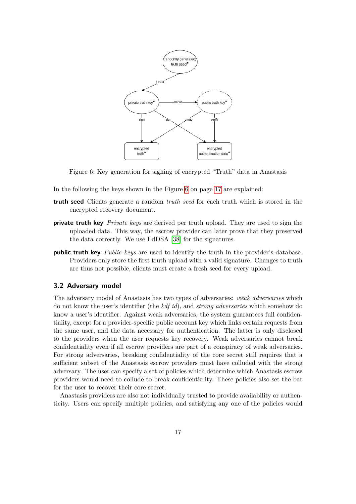

<span id="page-19-1"></span>Figure 6: Key generation for signing of encrypted "Truth" data in Anastasis

In the following the keys shown in the Figure [6](#page-19-1) on page [17](#page-19-1) are explained:

- **truth seed** Clients generate a random *truth seed* for each truth which is stored in the encrypted recovery document.
- **private truth key** *Private keys* are derived per truth upload. They are used to sign the uploaded data. This way, the escrow provider can later prove that they preserved the data correctly. We use EdDSA [\[38\]](#page-52-9) for the signatures.
- **public truth key** *Public keys* are used to identify the truth in the provider's database. Providers only store the first truth upload with a valid signature. Changes to truth are thus not possible, clients must create a fresh seed for every upload.

# <span id="page-19-0"></span>**3.2 Adversary model**

The adversary model of Anastasis has two types of adversaries: *weak adversaries* which do not know the user's identifier (the *kdf id*), and *strong adversaries* which somehow do know a user's identifier. Against weak adversaries, the system guarantees full confidentiality, except for a provider-specific public account key which links certain requests from the same user, and the data necessary for authentication. The latter is only disclosed to the providers when the user requests key recovery. Weak adversaries cannot break confidentiality even if all escrow providers are part of a conspiracy of weak adversaries. For strong adversaries, breaking confidentiality of the core secret still requires that a sufficient subset of the Anastasis escrow providers must have colluded with the strong adversary. The user can specify a set of policies which determine which Anastasis escrow providers would need to collude to break confidentiality. These policies also set the bar for the user to recover their core secret.

Anastasis providers are also not individually trusted to provide availability or authenticity. Users can specify multiple policies, and satisfying any one of the policies would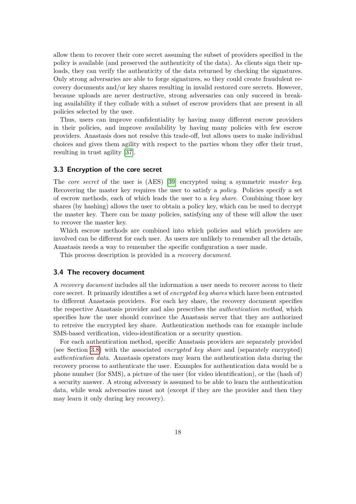allow them to recover their core secret assuming the subset of providers specified in the policy is available (and preserved the authenticity of the data). As clients sign their uploads, they can verify the authenticity of the data returned by checking the signatures. Only strong adversaries are able to forge signatures, so they could create fraudulent recovery documents and/or key shares resulting in invalid restored core secrets. However, because uploads are never destructive, strong adversaries can only succeed in breaking availability if they collude with a subset of escrow providers that are present in all policies selected by the user.

Thus, users can improve confidentiality by having many different escrow providers in their policies, and improve availability by having many policies with few escrow providers. Anastasis does not resolve this trade-off, but allows users to make individual choices and gives them agility with respect to the parties whom they offer their trust, resulting in trust agility [\[37\]](#page-52-8).

### <span id="page-20-0"></span>**3.3 Encryption of the core secret**

The *core secret* of the user is (AES) [\[39\]](#page-52-10) encrypted using a symmetric *master key*. Recovering the master key requires the user to satisfy a *policy*. Policies specify a set of escrow methods, each of which leads the user to a *key share*. Combining those key shares (by hashing) allows the user to obtain a policy key, which can be used to decrypt the master key. There can be many policies, satisfying any of these will allow the user to recover the master key.

Which escrow methods are combined into which policies and which providers are involved can be different for each user. As users are unlikely to remember all the details, Anastasis needs a way to remember the specific configuration a user made.

This process description is provided in a *recovery document*.

### <span id="page-20-1"></span>**3.4 The recovery document**

A *recovery document* includes all the information a user needs to recover access to their core secret. It primarily identifies a set of *encrypted key shares* which have been entrusted to different Anastasis providers. For each key share, the recovery document specifies the respective Anastasis provider and also prescribes the *authentication method*, which specifies how the user should convince the Anastasis server that they are authorized to retreive the encrypted key share. Authentication methods can for example include SMS-based verification, video-identification or a security question.

For each authentication method, specific Anastasis providers are separately provided (see Section [3.8\)](#page-26-0) with the associated *encrypted key share* and (separately encrypted) *authentication data*. Anastasis operators may learn the authentication data during the recovery process to authenticate the user. Examples for authentication data would be a phone number (for SMS), a picture of the user (for video identification), or the (hash of) a security answer. A strong adversary is assumed to be able to learn the authentication data, while weak adversaries must not (except if they are the provider and then they may learn it only during key recovery).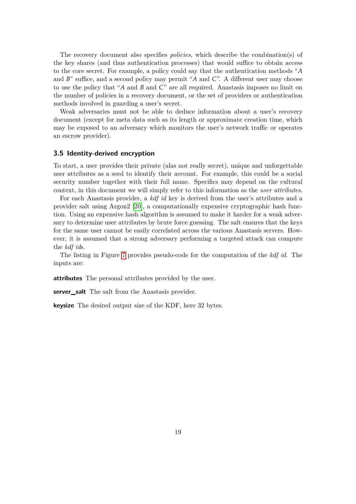The recovery document also specifies *policies*, which describe the combination(s) of the key shares (and thus authentication processes) that would suffice to obtain access to the core secret. For example, a policy could say that the authentication methods "*A* and *B*" suffice, and a second policy may permit "*A* and *C*". A different user may choose to use the policy that "*A* and *B* and *C*" are all required. Anastasis imposes no limit on the number of policies in a recovery document, or the set of providers or authentication methods involved in guarding a user's secret.

Weak adversaries must not be able to deduce information about a user's recovery document (except for meta data such as its length or approximate creation time, which may be exposed to an adversary which monitors the user's network traffic or operates an escrow provider).

# <span id="page-21-0"></span>**3.5 Identity-derived encryption**

To start, a user provides their private (alas not really secret), unique and unforgettable user attributes as a seed to identify their account. For example, this could be a social security number together with their full name. Specifics may depend on the cultural context, in this document we will simply refer to this information as the *user attributes*.

For each Anastasis provider, a *kdf id* key is derived from the user's attributes and a provider salt using Argon2 [\[20\]](#page-51-6), a computationally expensive cryptographic hash function. Using an expensive hash algorithm is assumed to make it harder for a weak adversary to determine user attributes by brute force guessing. The salt ensures that the keys for the same user cannot be easily correlated across the various Anastasis servers. However, it is assumed that a strong adversary performing a targeted attack can compute the *kdf id*s.

The listing in Figure [7](#page-22-0) provides pseudo-code for the computation of the *kdf id*. The inputs are:

**attributes** The personal attributes provided by the user.

**server** salt The salt from the Anastasis provider.

**keysize** The desired output size of the KDF, here 32 bytes.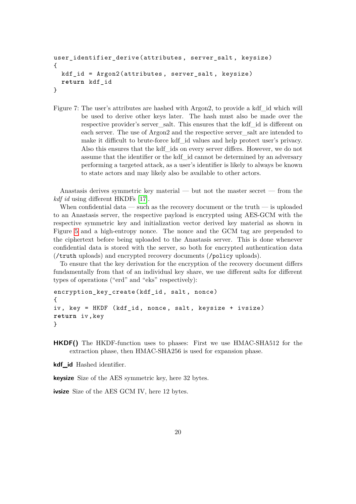```
user_identifier_derive (attributes , server_salt , keysize)
{
 kdf_id = Argon2(attributes , server_salt , keysize)
 return kdf_id
}
```
<span id="page-22-0"></span>Figure 7: The user's attributes are hashed with Argon2, to provide a kdf\_id which will be used to derive other keys later. The hash must also be made over the respective provider's server\_salt. This ensures that the kdf\_id is different on each server. The use of Argon2 and the respective server\_salt are intended to make it difficult to brute-force kdf\_id values and help protect user's privacy. Also this ensures that the kdf\_ids on every server differs. However, we do not assume that the identifier or the kdf\_id cannot be determined by an adversary performing a targeted attack, as a user's identifier is likely to always be known to state actors and may likely also be available to other actors.

Anastasis derives symmetric key material — but not the master secret — from the *kdf id* using different HKDFs [\[17\]](#page-51-3).

When confidential data — such as the recovery document or the truth — is uploaded to an Anastasis server, the respective payload is encrypted using AES-GCM with the respective symmetric key and initialization vector derived key material as shown in Figure [5](#page-17-0) and a high-entropy nonce. The nonce and the GCM tag are prepended to the ciphertext before being uploaded to the Anastasis server. This is done whenever confidential data is stored with the server, so both for encrypted authentication data (/truth uploads) and encrypted recovery documents (/policy uploads).

To ensure that the key derivation for the encryption of the recovery document differs fundamentally from that of an individual key share, we use different salts for different types of operations ("erd" and "eks" respectively):

```
encryption_key_create (kdf_id , salt , nonce)
{
iv, key = HKDF (kdf_id, nonce, salt, keysize + ivsize)
return iv ,key
}
```
**HKDF()** The HKDF-function uses to phases: First we use HMAC-SHA512 for the extraction phase, then HMAC-SHA256 is used for expansion phase.

**kdf\_id** Hashed identifier.

**keysize** Size of the AES symmetric key, here 32 bytes.

**ivsize** Size of the AES GCM IV, here 12 bytes.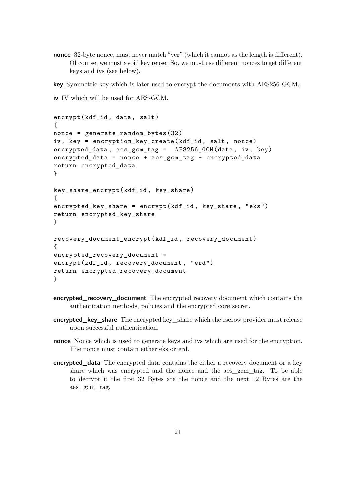**nonce** 32-byte nonce, must never match "ver" (which it cannot as the length is different). Of course, we must avoid key reuse. So, we must use different nonces to get different keys and ivs (see below).

**key** Symmetric key which is later used to encrypt the documents with AES256-GCM.

**iv** IV which will be used for AES-GCM.

```
encrypt(kdf_id, data, salt)
{
nonce = generate_random_bytes (32)
iv, key = encryption key create (kdf id, salt, nonce)
encrypted data, aes gcm tag = AES256 GCM (data, iv, key)
encrypted_data = nonce + aes_gcm_tag + encrypted_data
return encrypted_data
}
key_share_encrypt (kdf_id , key_share )
{
encrypted_key_share = encrypt(kdf_id , key_share , "eks")
return encrypted_key_share
}
recovery_document_encrypt (kdf_id , recovery_document )
{
encrypted_recovery_document =
encrypt(kdf_id , recovery_document , "erd")
return encrypted_recovery_document
}
```
- **encrypted\_recovery\_document** The encrypted recovery document which contains the authentication methods, policies and the encrypted core secret.
- **encrypted\_key\_share** The encrypted key\_share which the escrow provider must release upon successful authentication.
- **nonce** Nonce which is used to generate keys and ivs which are used for the encryption. The nonce must contain either eks or erd.
- **encrypted\_data** The encrypted data contains the either a recovery document or a key share which was encrypted and the nonce and the aes\_gcm\_tag. To be able to decrypt it the first 32 Bytes are the nonce and the next 12 Bytes are the aes\_gcm\_tag.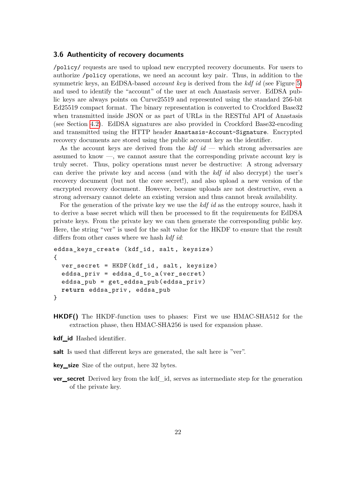### <span id="page-24-0"></span>**3.6 Authenticity of recovery documents**

/policy/ requests are used to upload new encrypted recovery documents. For users to authorize /policy operations, we need an account key pair. Thus, in addition to the symmetric keys, an EdDSA-based *account key* is derived from the *kdf id* (see Figure [5\)](#page-17-0) and used to identify the "account" of the user at each Anastasis server. EdDSA public keys are always points on Curve25519 and represented using the standard 256-bit Ed25519 compact format. The binary representation is converted to Crockford Base32 when transmitted inside JSON or as part of URLs in the RESTful API of Anastasis (see Section [4.2\)](#page-29-0). EdDSA signatures are also provided in Crockford Base32-encoding and transmitted using the HTTP header Anastasis-Account-Signature. Encrypted recovery documents are stored using the public account key as the identifier.

As the account keys are derived from the *kdf id* — which strong adversaries are assumed to know —, we cannot assure that the corresponding private account key is truly secret. Thus, policy operations must never be destructive: A strong adversary can derive the private key and access (and with the *kdf id* also decrypt) the user's recovery document (but not the core secret!), and also upload a new version of the encrypted recovery document. However, because uploads are not destructive, even a strong adversary cannot delete an existing version and thus cannot break availability.

For the generation of the private key we use the *kdf id* as the entropy source, hash it to derive a base secret which will then be processed to fit the requirements for EdDSA private keys. From the private key we can then generate the corresponding public key. Here, the string "ver" is used for the salt value for the HKDF to ensure that the result differs from other cases where we hash *kdf id*:

```
eddsa_keys_create (kdf_id , salt , keysize)
{
  ver_secret = HKDF(kdf_id , salt , keysize)
  eddsa_priv = eddsa_d_to_a ( ver_secret )
  eddsa_pub = get_eddsa_pub ( eddsa_priv )
  return eddsa_priv , eddsa_pub
}
```
- **HKDF()** The HKDF-function uses to phases: First we use HMAC-SHA512 for the extraction phase, then HMAC-SHA256 is used for expansion phase.
- **kdf\_id** Hashed identifier.
- salt Is used that different keys are generated, the salt here is "ver".
- **key\_size** Size of the output, here 32 bytes.
- **ver\_secret** Derived key from the kdf\_id, serves as intermediate step for the generation of the private key.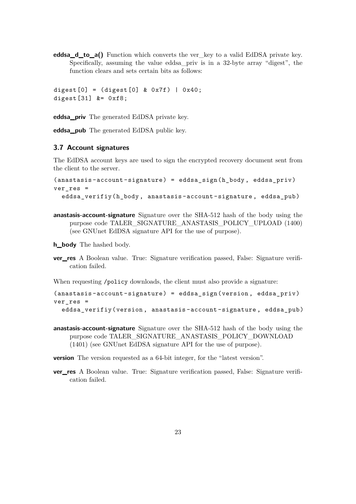**eddsa\_d\_to\_a()** Function which converts the ver\_key to a valid EdDSA private key. Specifically, assuming the value eddsa\_priv is in a 32-byte array "digest", the function clears and sets certain bits as follows:

```
digest [0] = (digest [0] & 0x7f) | 0x40;digest [31] &= 0xf8;
```
**eddsa\_priv** The generated EdDSA private key.

**eddsa\_pub** The generated EdDSA public key.

### <span id="page-25-0"></span>**3.7 Account signatures**

The EdDSA account keys are used to sign the encrypted recovery document sent from the client to the server.

```
(anastasis -account - signature ) = eddsa_sign (h_body , eddsa_priv )
ver res =eddsa_verifiy (h_body, anastasis-account-signature, eddsa_pub)
```
**anastasis-account-signature** Signature over the SHA-512 hash of the body using the purpose code TALER\_SIGNATURE\_ANASTASIS\_POLICY\_UPLOAD (1400) (see GNUnet EdDSA signature API for the use of purpose).

**h\_body** The hashed body.

**ver\_res** A Boolean value. True: Signature verification passed, False: Signature verification failed.

When requesting /policy downloads, the client must also provide a signature:

```
(anastasis -account - signature ) = eddsa_sign (version , eddsa_priv )
ver res =eddsa_verifiy (version , anastasis -account -signature , eddsa_pub )
```
**anastasis-account-signature** Signature over the SHA-512 hash of the body using the purpose code TALER\_SIGNATURE\_ANASTASIS\_POLICY\_DOWNLOAD (1401) (see GNUnet EdDSA signature API for the use of purpose).

**version** The version requested as a 64-bit integer, for the "latest version".

**ver\_res** A Boolean value. True: Signature verification passed, False: Signature verification failed.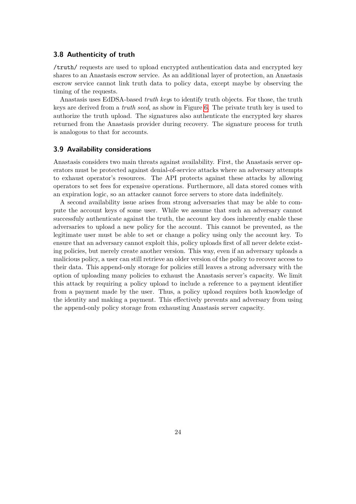### <span id="page-26-0"></span>**3.8 Authenticity of truth**

/truth/ requests are used to upload encrypted authentication data and encrypted key shares to an Anastasis escrow service. As an additional layer of protection, an Anastasis escrow service cannot link truth data to policy data, except maybe by observing the timing of the requests.

Anastasis uses EdDSA-based *truth key*s to identify truth objects. For those, the truth keys are derived from a *truth seed*, as show in Figure [6.](#page-19-1) The private truth key is used to authorize the truth upload. The signatures also authenticate the encrypted key shares returned from the Anastasis provider during recovery. The signature process for truth is analogous to that for accounts.

### <span id="page-26-1"></span>**3.9 Availability considerations**

Anastasis considers two main threats against availability. First, the Anastasis server operators must be protected against denial-of-service attacks where an adversary attempts to exhaust operator's resources. The API protects against these attacks by allowing operators to set fees for expensive operations. Furthermore, all data stored comes with an expiration logic, so an attacker cannot force servers to store data indefinitely.

A second availability issue arises from strong adversaries that may be able to compute the account keys of some user. While we assume that such an adversary cannot successfuly authenticate against the truth, the account key does inherently enable these adversaries to upload a new policy for the account. This cannot be prevented, as the legitimate user must be able to set or change a policy using only the account key. To ensure that an adversary cannot exploit this, policy uploads first of all never delete existing policies, but merely create another version. This way, even if an adversary uploads a malicious policy, a user can still retrieve an older version of the policy to recover access to their data. This append-only storage for policies still leaves a strong adversary with the option of uploading many policies to exhaust the Anastasis server's capacity. We limit this attack by requiring a policy upload to include a reference to a payment identifier from a payment made by the user. Thus, a policy upload requires both knowledge of the identity and making a payment. This effectively prevents and adversary from using the append-only policy storage from exhausting Anastasis server capacity.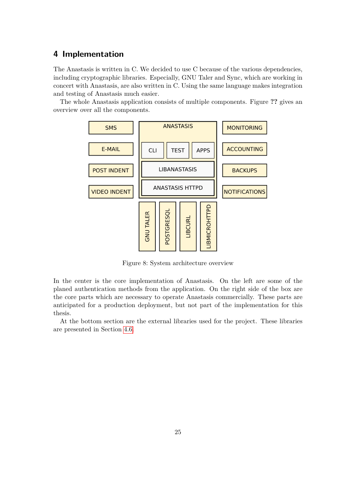# <span id="page-27-0"></span>**4 Implementation**

The Anastasis is written in C. We decided to use C because of the various dependencies, including cryptographic libraries. Especially, GNU Taler and Sync, which are working in concert with Anastasis, are also written in C. Using the same language makes integration and testing of Anastasis much easier.

The whole Anastasis application consists of multiple components. Figure **??** gives an overview over all the components.



<span id="page-27-1"></span>Figure 8: System architecture overview

In the center is the core implementation of Anastasis. On the left are some of the planed authentication methods from the application. On the right side of the box are the core parts which are necessary to operate Anastasis commercially. These parts are anticipated for a production deployment, but not part of the implementation for this thesis.

At the bottom section are the external libraries used for the project. These libraries are presented in Section [4.6.](#page-46-0)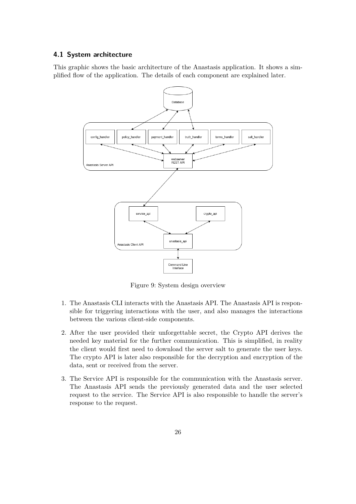### <span id="page-28-0"></span>**4.1 System architecture**

This graphic shows the basic architecture of the Anastasis application. It shows a simplified flow of the application. The details of each component are explained later.



<span id="page-28-1"></span>Figure 9: System design overview

- 1. The Anastasis CLI interacts with the Anastasis API. The Anastasis API is responsible for triggering interactions with the user, and also manages the interactions between the various client-side components.
- 2. After the user provided their unforgettable secret, the Crypto API derives the needed key material for the further communication. This is simplified, in reality the client would first need to download the server salt to generate the user keys. The crypto API is later also responsible for the decryption and encryption of the data, sent or received from the server.
- 3. The Service API is responsible for the communication with the Anastasis server. The Anastasis API sends the previously generated data and the user selected request to the service. The Service API is also responsible to handle the server's response to the request.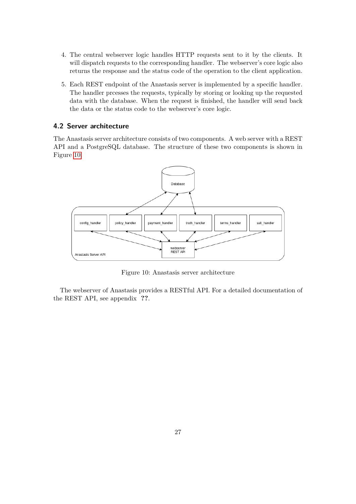- 4. The central webserver logic handles HTTP requests sent to it by the clients. It will dispatch requests to the corresponding handler. The webserver's core logic also returns the response and the status code of the operation to the client application.
- 5. Each REST endpoint of the Anastasis server is implemented by a specific handler. The handler prcesses the requests, typically by storing or looking up the requested data with the database. When the request is finished, the handler will send back the data or the status code to the webserver's core logic.

## <span id="page-29-0"></span>**4.2 Server architecture**

The Anastasis server architecture consists of two components. A web server with a REST API and a PostgreSQL database. The structure of these two components is shown in Figure [10.](#page-29-1)



<span id="page-29-1"></span>Figure 10: Anastasis server architecture

The webserver of Anastasis provides a RESTful API. For a detailed documentation of the REST API, see appendix **??**.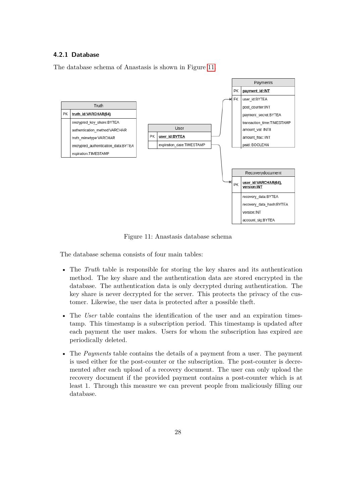### <span id="page-30-0"></span>**4.2.1 Database**

The database schema of Anastasis is shown in Figure [11.](#page-30-1)



<span id="page-30-1"></span>Figure 11: Anastasis database schema

The database schema consists of four main tables:

- The *Truth* table is responsible for storing the key shares and its authentication method. The key share and the authentication data are stored encrypted in the database. The authentication data is only decrypted during authentication. The key share is never decrypted for the server. This protects the privacy of the customer. Likewise, the user data is protected after a possible theft.
- The *User* table contains the identification of the user and an expiration timestamp. This timestamp is a subscription period. This timestamp is updated after each payment the user makes. Users for whom the subscription has expired are periodically deleted.
- The *Payments* table contains the details of a payment from a user. The payment is used either for the post-counter or the subscription. The post-counter is decremented after each upload of a recovery document. The user can only upload the recovery document if the provided payment contains a post-counter which is at least 1. Through this measure we can prevent people from maliciously filling our database.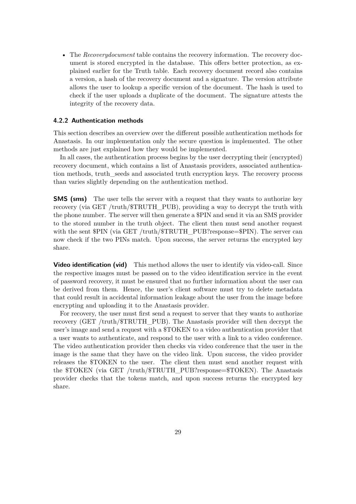• The *Recoverydocument* table contains the recovery information. The recovery document is stored encrypted in the database. This offers better protection, as explained earlier for the Truth table. Each recovery document record also contains a version, a hash of the recovery document and a signature. The version attribute allows the user to lookup a specific version of the document. The hash is used to check if the user uploads a duplicate of the document. The signature attests the integrity of the recovery data.

### <span id="page-31-0"></span>**4.2.2 Authentication methods**

This section describes an overview over the different possible authentication methods for Anastasis. In our implementation only the secure question is implemented. The other methods are just explained how they would be implemented.

In all cases, the authentication process begins by the user decrypting their (encrypted) recovery document, which contains a list of Anastasis providers, associated authentication methods, truth\_seeds and associated truth encryption keys. The recovery process than varies slightly depending on the authentication method.

**SMS (sms)** The user tells the server with a request that they wants to authorize key recovery (via GET /truth/\$TRUTH\_PUB), providing a way to decrypt the truth with the phone number. The server will then generate a \$PIN and send it via an SMS provider to the stored number in the truth object. The client then must send another request with the sent \$PIN (via GET /truth/\$TRUTH\_PUB?response=\$PIN). The server can now check if the two PINs match. Upon success, the server returns the encrypted key share.

**Video identification (vid)** This method allows the user to identify via video-call. Since the respective images must be passed on to the video identification service in the event of password recovery, it must be ensured that no further information about the user can be derived from them. Hence, the user's client software must try to delete metadata that could result in accidental information leakage about the user from the image before encrypting and uploading it to the Anastasis provider.

For recovery, the user must first send a request to server that they wants to authorize recovery (GET /truth/\$TRUTH\_PUB). The Anastasis provider will then decrypt the user's image and send a request with a \$TOKEN to a video authentication provider that a user wants to authenticate, and respond to the user with a link to a video conference. The video authentication provider then checks via video conference that the user in the image is the same that they have on the video link. Upon success, the video provider releases the \$TOKEN to the user. The client then must send another request with the \$TOKEN (via GET /truth/\$TRUTH\_PUB?response=\$TOKEN). The Anastasis provider checks that the tokens match, and upon success returns the encrypted key share.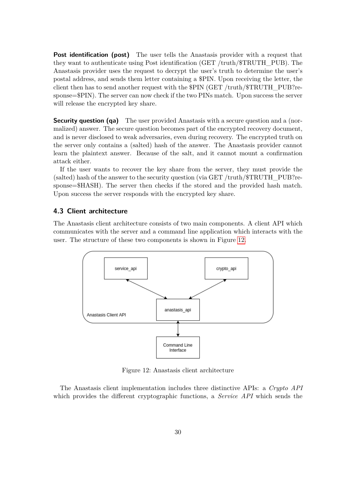**Post identification (post)** The user tells the Anastasis provider with a request that they want to authenticate using Post identification (GET /truth/\$TRUTH\_PUB). The Anastasis provider uses the request to decrypt the user's truth to determine the user's postal address, and sends them letter containing a \$PIN. Upon receiving the letter, the client then has to send another request with the \$PIN (GET /truth/\$TRUTH\_PUB?response=\$PIN). The server can now check if the two PINs match. Upon success the server will release the encrypted key share.

**Security question (qa)** The user provided Anastasis with a secure question and a (normalized) answer. The secure question becomes part of the encrypted recovery document, and is never disclosed to weak adversaries, even during recovery. The encrypted truth on the server only contains a (salted) hash of the answer. The Anastasis provider cannot learn the plaintext answer. Because of the salt, and it cannot mount a confirmation attack either.

If the user wants to recover the key share from the server, they must provide the (salted) hash of the answer to the security question (via GET /truth/\$TRUTH\_PUB?response=\$HASH). The server then checks if the stored and the provided hash match. Upon success the server responds with the encrypted key share.

### <span id="page-32-0"></span>**4.3 Client architecture**

The Anastasis client architecture consists of two main components. A client API which communicates with the server and a command line application which interacts with the user. The structure of these two components is shown in Figure [12.](#page-32-1)



<span id="page-32-1"></span>Figure 12: Anastasis client architecture

The Anastasis client implementation includes three distinctive APIs: a *Crypto API* which provides the different cryptographic functions, a *Service API* which sends the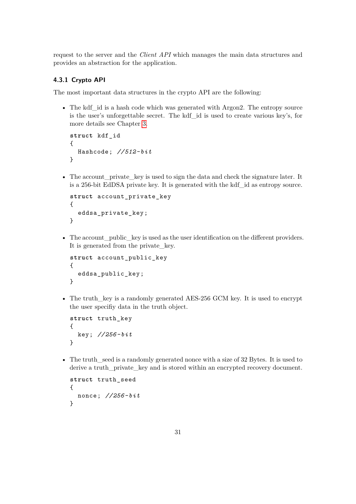request to the server and the *Client API* which manages the main data structures and provides an abstraction for the application.

### <span id="page-33-0"></span>**4.3.1 Crypto API**

The most important data structures in the crypto API are the following:

• The kdf id is a hash code which was generated with Argon2. The entropy source is the user's unforgettable secret. The kdf\_id is used to create various key's, for more details see Chapter [3.](#page-16-0)

```
struct kdf_id
{
  Hashcode; //512- bit
}
```
• The account private key is used to sign the data and check the signature later. It is a 256-bit EdDSA private key. It is generated with the kdf\_id as entropy source.

```
struct account private key
{
  eddsa_private_key ;
}
```
• The account public key is used as the user identification on the different providers. It is generated from the private\_key.

```
struct account_public_key
{
  eddsa public key;
}
```
• The truth key is a randomly generated AES-256 GCM key. It is used to encrypt the user specifiy data in the truth object.

```
struct truth_key
{
  key; //256- bit
}
```
• The truth seed is a randomly generated nonce with a size of 32 Bytes. It is used to derive a truth\_private\_key and is stored within an encrypted recovery document.

```
struct truth_seed
{
  nonce; //256- bit
}
```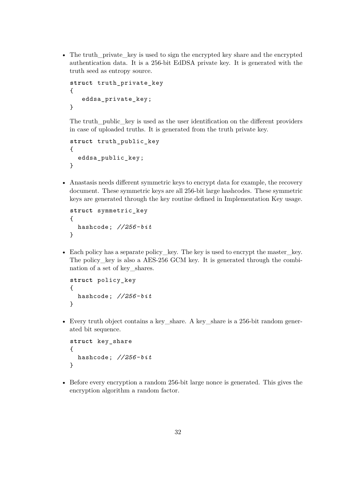• The truth private key is used to sign the encrypted key share and the encrypted authentication data. It is a 256-bit EdDSA private key. It is generated with the truth seed as entropy source.

```
struct truth_private_key
{
   eddsa_private_key ;
}
```
The truth public key is used as the user identification on the different providers in case of uploaded truths. It is generated from the truth private key.

```
struct truth public key
{
  eddsa_public_key ;
}
```
• Anastasis needs different symmetric keys to encrypt data for example, the recovery document. These symmetric keys are all 256-bit large hashcodes. These symmetric keys are generated through the key routine defined in Implementation Key usage.

```
struct symmetric_key
{
  hashcode; //256- bit
}
```
• Each policy has a separate policy\_key. The key is used to encrypt the master\_key. The policy key is also a AES-256 GCM key. It is generated through the combination of a set of key\_shares.

```
struct policy_key
{
  hashcode; //256- bit
}
```
• Every truth object contains a key\_share. A key\_share is a 256-bit random generated bit sequence.

```
struct key_share
{
  hashcode; //256- bit
}
```
• Before every encryption a random 256-bit large nonce is generated. This gives the encryption algorithm a random factor.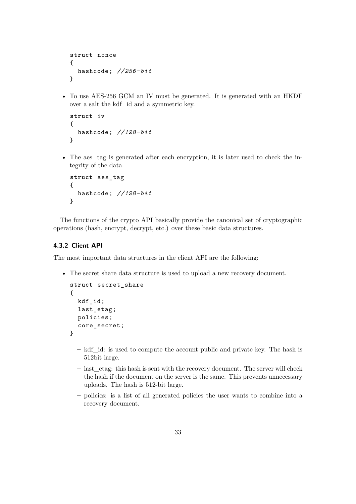```
struct nonce
{
  hashcode; //256- bit
}
```
• To use AES-256 GCM an IV must be generated. It is generated with an HKDF over a salt the kdf\_id and a symmetric key.

```
struct iv
{
  hashcode; //128- bit
}
```
• The aes tag is generated after each encryption, it is later used to check the integrity of the data.

```
struct aes_tag
{
  hashcode; //128- bit
}
```
The functions of the crypto API basically provide the canonical set of cryptographic operations (hash, encrypt, decrypt, etc.) over these basic data structures.

### <span id="page-35-0"></span>**4.3.2 Client API**

The most important data structures in the client API are the following:

• The secret share data structure is used to upload a new recovery document.

```
struct secret_share
{
  kdf_id;
  last_etag ;
  policies;
  core_secret ;
}
```
- **–** kdf\_id: is used to compute the account public and private key. The hash is 512bit large.
- **–** last\_etag: this hash is sent with the recovery document. The server will check the hash if the document on the server is the same. This prevents unnecessary uploads. The hash is 512-bit large.
- **–** policies: is a list of all generated policies the user wants to combine into a recovery document.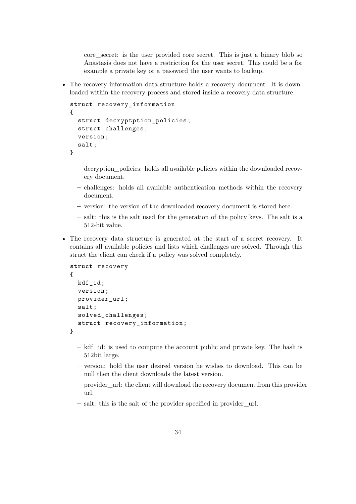- **–** core\_secret: is the user provided core secret. This is just a binary blob so Anastasis does not have a restriction for the user secret. This could be a for example a private key or a password the user wants to backup.
- The recovery information data structure holds a recovery document. It is downloaded within the recovery process and stored inside a recovery data structure.

```
struct recovery_information
{
  struct decryptption_policies ;
  struct challenges ;
  version;
  salt;
}
```
- **–** decryption\_policies: holds all available policies within the downloaded recovery document.
- **–** challenges: holds all available authentication methods within the recovery document.
- **–** version: the version of the downloaded recovery document is stored here.
- **–** salt: this is the salt used for the generation of the policy keys. The salt is a 512-bit value.
- The recovery data structure is generated at the start of a secret recovery. It contains all available policies and lists which challenges are solved. Through this struct the client can check if a policy was solved completely.

```
struct recovery
{
  kdf_id;
  version;
  provider url:
  salt;
  solved_challenges ;
  struct recovery_information ;
}
```
- **–** kdf\_id: is used to compute the account public and private key. The hash is 512bit large.
- **–** version: hold the user desired version he wishes to download. This can be null then the client downloads the latest version.
- **–** provider\_url: the client will download the recovery document from this provider url.
- **–** salt: this is the salt of the provider specified in provider\_url.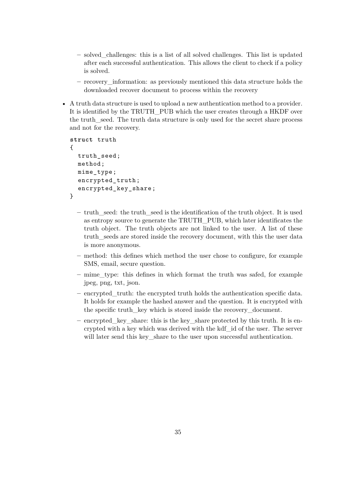- **–** solved\_challenges: this is a list of all solved challenges. This list is updated after each successful authentication. This allows the client to check if a policy is solved.
- **–** recovery\_information: as previously mentioned this data structure holds the downloaded recover document to process within the recovery
- A truth data structure is used to upload a new authentication method to a provider. It is identified by the TRUTH\_PUB which the user creates through a HKDF over the truth\_seed. The truth data structure is only used for the secret share process and not for the recovery.

```
struct truth
{
  truth_seed ;
  method;
  mime_type ;
  encrypted_truth ;
  encrypted_key_share ;
}
```
- **–** truth\_seed: the truth\_seed is the identification of the truth object. It is used as entropy source to generate the TRUTH\_PUB, which later identificates the truth object. The truth objects are not linked to the user. A list of these truth\_seeds are stored inside the recovery document, with this the user data is more anonymous.
- **–** method: this defines which method the user chose to configure, for example SMS, email, secure question.
- **–** mime\_type: this defines in which format the truth was safed, for example jpeg, png, txt, json.
- **–** encrypted\_truth: the encrypted truth holds the authentication specific data. It holds for example the hashed answer and the question. It is encrypted with the specific truth\_key which is stored inside the recovery\_document.
- **–** encrypted\_key\_share: this is the key\_share protected by this truth. It is encrypted with a key which was derived with the kdf\_id of the user. The server will later send this key share to the user upon successful authentication.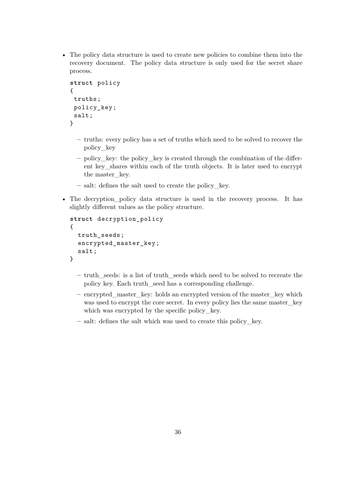• The policy data structure is used to create new policies to combine them into the recovery document. The policy data structure is only used for the secret share process.

```
struct policy
{
 truths;
 policy_key ;
 salt;
}
```
- **–** truths: every policy has a set of truths which need to be solved to recover the policy\_key
- **–** policy\_key: the policy\_key is created through the combination of the different key\_shares within each of the truth objects. It is later used to encrypt the master key.
- **–** salt: defines the salt used to create the policy\_key.
- The decryption\_policy data structure is used in the recovery process. It has slightly different values as the policy structure.

```
struct decryption_policy
{
  truth_seeds ;
  encrypted_master_key ;
  salt;
}
```
- **–** truth\_seeds: is a list of truth\_seeds which need to be solved to recreate the policy key. Each truth\_seed has a corresponding challenge.
- **–** encrypted\_master\_key: holds an encrypted version of the master\_key which was used to encrypt the core secret. In every policy lies the same master\_key which was encrypted by the specific policy\_key.
- **–** salt: defines the salt which was used to create this policy\_key.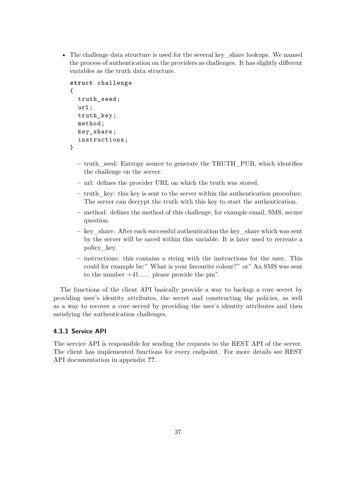• The challenge data structure is used for the several key—share lookups. We named the process of authentication on the providers as challenges. It has slightly different variables as the truth data structure.

```
struct challenge
{
  truth seed;
  url;
  truth_key ;
  method;
  key_share ;
  instructions ;
}
```
- **–** truth\_seed: Entropy source to generate the TRUTH\_PUB, which identifies the challenge on the server.
- **–** url: defines the provider URL on which the truth was stored.
- **–** truth\_key: this key is sent to the server within the authentication procedure. The server can decrypt the truth with this key to start the authentication.
- **–** method: defines the method of this challenge, for example email, SMS, secure question.
- **–** key\_share: After each successful authentication the key\_share which was sent by the server will be saved within this variable. It is later used to recreate a policy\_key.
- **–** instructions: this contains a string with the instructions for the user. This could for example be:" What is your favourite colour?" or" An SMS was sent to the number +41...... please provide the pin".

The functions of the client API basically provide a way to backup a core secret by providing user's identity attributes, the secret and constructing the policies, as well as a way to recover a core secred by providing the user's identity attributes and then satisfying the authentication challenges.

# <span id="page-39-0"></span>**4.3.3 Service API**

The service API is responsible for sending the requests to the REST API of the server. The client has implemented functions for every endpoint. For more details see REST API documentation in appendix **??**.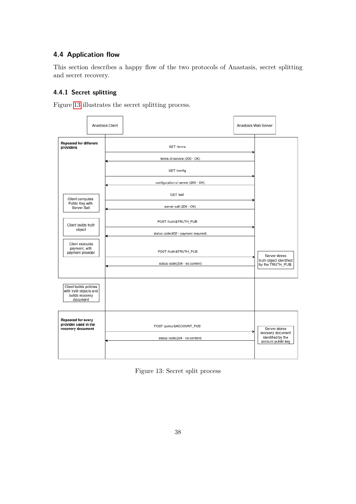# <span id="page-40-0"></span>**4.4 Application flow**

This section describes a happy flow of the two protocols of Anastasis, secret splitting and secret recovery.

# <span id="page-40-1"></span>**4.4.1 Secret splitting**

Figure [13](#page-40-2) illustrates the secret splitting process.



<span id="page-40-2"></span>Figure 13: Secret split process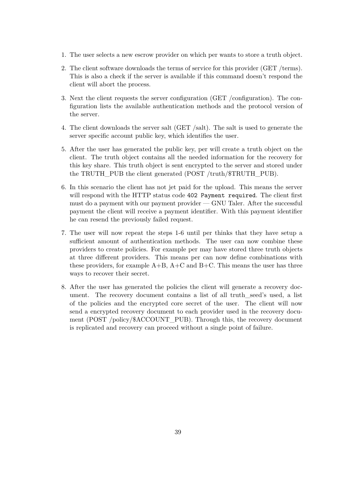- 1. The user selects a new escrow provider on which per wants to store a truth object.
- 2. The client software downloads the terms of service for this provider (GET /terms). This is also a check if the server is available if this command doesn't respond the client will abort the process.
- 3. Next the client requests the server configuration (GET /configuration). The configuration lists the available authentication methods and the protocol version of the server.
- 4. The client downloads the server salt (GET /salt). The salt is used to generate the server specific account public key, which identifies the user.
- 5. After the user has generated the public key, per will create a truth object on the client. The truth object contains all the needed information for the recovery for this key share. This truth object is sent encrypted to the server and stored under the TRUTH\_PUB the client generated (POST /truth/\$TRUTH\_PUB).
- 6. In this scenario the client has not jet paid for the upload. This means the server will respond with the HTTP status code 402 Payment required. The client first must do a payment with our payment provider — GNU Taler. After the successful payment the client will receive a payment identifier. With this payment identifier he can resend the previously failed request.
- 7. The user will now repeat the steps 1-6 until per thinks that they have setup a sufficient amount of authentication methods. The user can now combine these providers to create policies. For example per may have stored three truth objects at three different providers. This means per can now define combinations with these providers, for example  $A+B$ ,  $A+C$  and  $B+C$ . This means the user has three ways to recover their secret.
- 8. After the user has generated the policies the client will generate a recovery document. The recovery document contains a list of all truth\_seed's used, a list of the policies and the encrypted core secret of the user. The client will now send a encrypted recovery document to each provider used in the recovery document (POST /policy/\$ACCOUNT\_PUB). Through this, the recovery document is replicated and recovery can proceed without a single point of failure.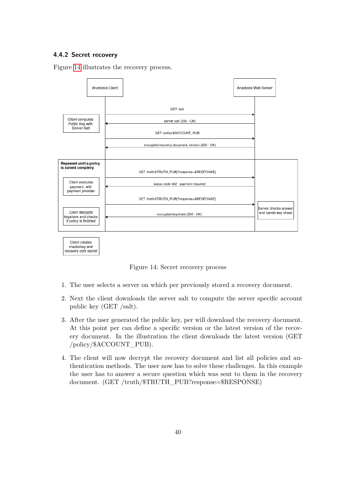### <span id="page-42-0"></span>**4.4.2 Secret recovery**

Figure [14](#page-42-1) illustrates the recovery process.



<span id="page-42-1"></span>Figure 14: Secret recovery process

- 1. The user selects a server on which per previously stored a recovery document.
- 2. Next the client downloads the server salt to compute the server specific account public key (GET /salt).
- 3. After the user generated the public key, per will download the recovery document. At this point per can define a specific version or the latest version of the recovery document. In the illustration the client downloads the latest version (GET /policy/\$ACCOUNT\_PUB).
- 4. The client will now decrypt the recovery document and list all policies and authentication methods. The user now has to solve these challenges. In this example the user has to answer a secure question which was sent to them in the recovery document. (GET /truth/\$TRUTH\_PUB?response=\$RESPONSE)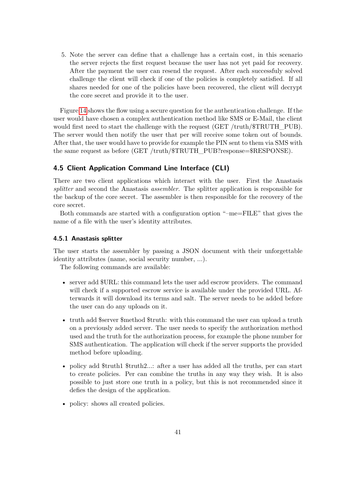5. Note the server can define that a challenge has a certain cost, in this scenario the server rejects the first request because the user has not yet paid for recovery. After the payment the user can resend the request. After each successfuly solved challenge the client will check if one of the policies is completely satisfied. If all shares needed for one of the policies have been recovered, the client will decrypt the core secret and provide it to the user.

Figure [14](#page-42-1) shows the flow using a secure question for the authentication challenge. If the user would have chosen a complex authentication method like SMS or E-Mail, the client would first need to start the challenge with the request (GET /truth/\$TRUTH\_PUB). The server would then notify the user that per will receive some token out of bounds. After that, the user would have to provide for example the PIN sent to them via SMS with the same request as before (GET /truth/\$TRUTH\_PUB?response=\$RESPONSE).

### <span id="page-43-0"></span>**4.5 Client Application Command Line Interface (CLI)**

There are two client applications which interact with the user. First the Anastasis *splitter* and second the Anastasis *assembler*. The splitter application is responsible for the backup of the core secret. The assembler is then responsible for the recovery of the core secret.

Both commands are started with a configuration option "–me=FILE" that gives the name of a file with the user's identity attributes.

### <span id="page-43-1"></span>**4.5.1 Anastasis splitter**

The user starts the assembler by passing a JSON document with their unforgettable identity attributes (name, social security number, ...).

The following commands are available:

- server add  $\text{FURL}:$  this command lets the user add escrow providers. The command will check if a supported escrow service is available under the provided URL. Afterwards it will download its terms and salt. The server needs to be added before the user can do any uploads on it.
- truth add \$server \$method \$truth: with this command the user can upload a truth on a previously added server. The user needs to specify the authorization method used and the truth for the authorization process, for example the phone number for SMS authentication. The application will check if the server supports the provided method before uploading.
- policy add \$truth1 \$truth2...: after a user has added all the truths, per can start to create policies. Per can combine the truths in any way they wish. It is also possible to just store one truth in a policy, but this is not recommended since it defies the design of the application.
- policy: shows all created policies.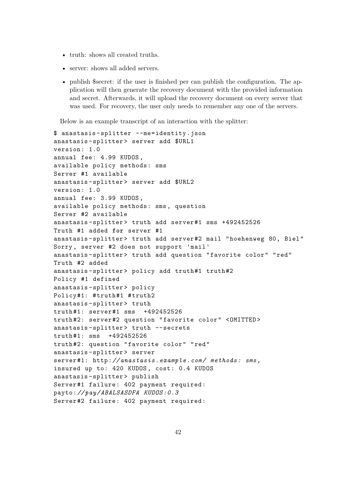- truth: shows all created truths.
- server: shows all added servers.
- publish \$secret: if the user is finished per can publish the configuration. The application will then generate the recovery document with the provided information and secret. Afterwards, it will upload the recovery document on every server that was used. For recovery, the user only needs to remember any one of the servers.

Below is an example transcript of an interaction with the splitter:

```
$ anastasis -splitter --me=identity.json
anastasis -splitter > server add $URL1
version: 1.0
annual fee: 4.99 KUDOS ,
available policy methods: sms
Server #1 available
anastasis-splitter> server add $URL2
version: 1.0
annual fee: 3.99 KUDOS ,
available policy methods: sms , question
Server #2 available
anastasis-splitter> truth add server#1 sms +492452526
Truth #1 added for server #1
anastasis -splitter > truth add server #2 mail " hoehenweg 80, Biel"
Sorry , server #2 does not support 'mail '
anastasis -splitter > truth add question "favorite color" "red"
Truth #2 added
anastasis-splitter> policy add truth#1 truth#2
Policy #1 defined
anastasis -splitter > policy
Policy#1: #truth#1 #truth2
anastasis-splitter> truth
truth #1: server #1 sms +492452526
truth #2: server #2 question "favorite color" <OMITTED >
anastasis-splitter> truth --secrets
truth #1: sms +492452526
truth #2: question "favorite color" "red"
anastasis -splitter > server
server #1: http:// anastasis .example.com/ methods: sms ,
insured up to: 420 KUDOS , cost: 0.4 KUDOS
anastasis -splitter > publish
Server #1 failure: 402 payment required:
payto:// pay/ ABALSASDFA KUDOS :0.3
Server #2 failure: 402 payment required:
```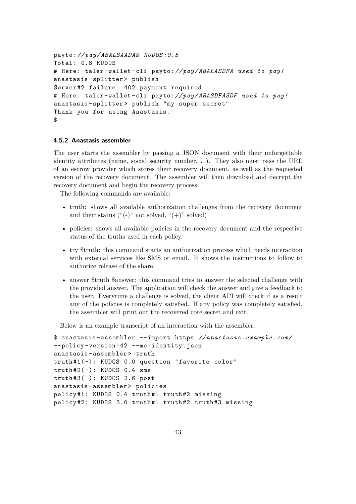```
payto:// pay/ ABALSAADAS KUDOS :0.5
Total: 0.8 KUDOS
# Here: taler -wallet -cli payto:// pay/ ABALASDFA used to pay!
anastasis -splitter > publish
Server #2 failure: 402 payment required
# Here: taler -wallet -cli payto:// pay/ ABASDFASDF used to pay!
anastasis-splitter> publish "my super secret"
Thank you for using Anastasis .
$
```
### <span id="page-45-0"></span>**4.5.2 Anastasis assembler**

The user starts the assembler by passing a JSON document with their unforgettable identity attributes (name, social security number, ...). They also must pass the URL of an escrow provider which stores their recovery document, as well as the requested version of the recovery document. The assembler will then download and decrypt the recovery document and begin the recovery process.

The following commands are available:

- truth: shows all available authorization challenges from the recovery document and their status  $($ "(-)" not solved, " $(+)$ " solved)
- policies: shows all available policies in the recovery document and the respective status of the truths used in each policy.
- try \$truth: this command starts an authorization process which needs interaction with external services like SMS or email. It shows the instructions to follow to authorize release of the share.
- answer \$truth \$answer: this command tries to answer the selected challenge with the provided answer. The application will check the answer and give a feedback to the user. Everytime a challenge is solved, the client API will check if as a result any of the policies is completely satisfied. If any policy was completely satisfied, the assembler will print out the recovered core secret and exit.

Below is an example transcript of an interaction with the assembler:

```
$ anastasis - assembler --import https:// anastasis .example.com/
--policy -version =42 --me=identity.json
anastasis -assembler > truth
truth #1( -): KUDOS 0.0 question "favorite color"
truth#2(-): KUDOS 0.4 smstruth #3( -): KUDOS 2.6 post
anastasis -assembler > policies
policy#1: KUDOS 0.4 truth#1 truth#2 missing
policy#2: KUDOS 3.0 truth#1 truth#2 truth#3 missing
```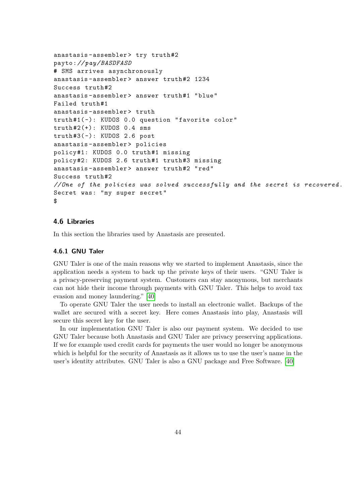```
anastasis-assembler> try truth#2
payto:// pay/BASDFASD
# SMS arrives asynchronously
anastasis-assembler> answer truth#2 1234
Success truth#2
anastasis-assembler> answer truth#1 "blue"
Failed truth #1
anastasis -assembler > truth
truth #1( -): KUDOS 0.0 question "favorite color"
truth #2(+): KUDOS 0.4 sms
truth #3( -): KUDOS 2.6 post
anastasis -assembler > policies
policy#1: KUDOS 0.0 truth#1 missing
policy#2: KUDOS 2.6 truth#1 truth#3 missing
anastasis-assembler> answer truth#2 "red"
Success truth #2
// One of the policies was solved successfully and the secret is recovered .
Secret was: "my super secret"
$
```
# <span id="page-46-0"></span>**4.6 Libraries**

In this section the libraries used by Anastasis are presented.

### <span id="page-46-1"></span>**4.6.1 GNU Taler**

GNU Taler is one of the main reasons why we started to implement Anastasis, since the application needs a system to back up the private keys of their users. "GNU Taler is a privacy-preserving payment system. Customers can stay anonymous, but merchants can not hide their income through payments with GNU Taler. This helps to avoid tax evasion and money laundering." [\[40\]](#page-52-11)

To operate GNU Taler the user needs to install an electronic wallet. Backups of the wallet are secured with a secret key. Here comes Anastasis into play, Anastasis will secure this secret key for the user.

In our implementation GNU Taler is also our payment system. We decided to use GNU Taler because both Anastasis and GNU Taler are privacy preserving applications. If we for example used credit cards for payments the user would no longer be anonymous which is helpful for the security of Anastasis as it allows us to use the user's name in the user's identity attributes. GNU Taler is also a GNU package and Free Software. [\[40\]](#page-52-11)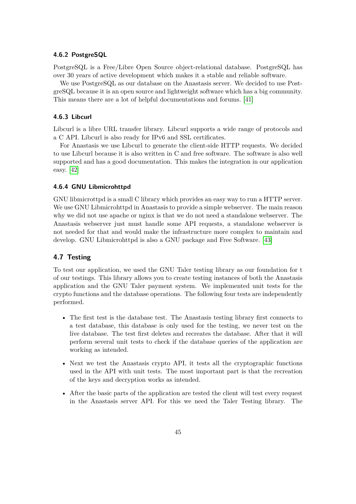### <span id="page-47-0"></span>**4.6.2 PostgreSQL**

PostgreSQL is a Free/Libre Open Source object-relational database. PostgreSQL has over 30 years of active development which makes it a stable and reliable software.

We use PostgreSQL as our database on the Anastasis server. We decided to use PostgreSQL because it is an open source and lightweight software which has a big community. This means there are a lot of helpful documentations and forums. [\[41\]](#page-52-12)

### <span id="page-47-1"></span>**4.6.3 Libcurl**

Libcurl is a libre URL transfer library. Libcurl supports a wide range of protocols and a C API. Libcurl is also ready for IPv6 and SSL certificates.

For Anastasis we use Libcurl to generate the client-side HTTP requests. We decided to use Libcurl because it is also written in C and free software. The software is also well supported and has a good documentation. This makes the integration in our application easy. [\[42\]](#page-52-13)

### <span id="page-47-2"></span>**4.6.4 GNU Libmicrohttpd**

GNU libmicrottpd is a small C library which provides an easy way to run a HTTP server. We use GNU Libmicrohttpd in Anastasis to provide a simple webserver. The main reason why we did not use apache or nginx is that we do not need a standalone webserver. The Anastasis webserver just must handle some API requests, a standalone webserver is not needed for that and would make the infrastructure more complex to maintain and develop. GNU Libmicrohttpd is also a GNU package and Free Software. [\[43\]](#page-52-14)

### <span id="page-47-3"></span>**4.7 Testing**

To test our application, we used the GNU Taler testing library as our foundation for t of our testings. This library allows you to create testing instances of both the Anastasis application and the GNU Taler payment system. We implemented unit tests for the crypto functions and the database operations. The following four tests are independently performed.

- The first test is the database test. The Anastasis testing library first connects to a test database, this database is only used for the testing, we never test on the live database. The test first deletes and recreates the database. After that it will perform several unit tests to check if the database queries of the application are working as intended.
- Next we test the Anastasis crypto API, it tests all the cryptographic functions used in the API with unit tests. The most important part is that the recreation of the keys and decryption works as intended.
- After the basic parts of the application are tested the client will test every request in the Anastasis server API. For this we need the Taler Testing library. The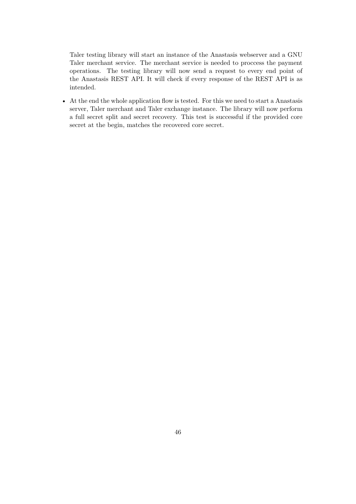Taler testing library will start an instance of the Anastasis webserver and a GNU Taler merchant service. The merchant service is needed to proccess the payment operations. The testing library will now send a request to every end point of the Anastasis REST API. It will check if every response of the REST API is as intended.

• At the end the whole application flow is tested. For this we need to start a Anastasis server, Taler merchant and Taler exchange instance. The library will now perform a full secret split and secret recovery. This test is successful if the provided core secret at the begin, matches the recovered core secret.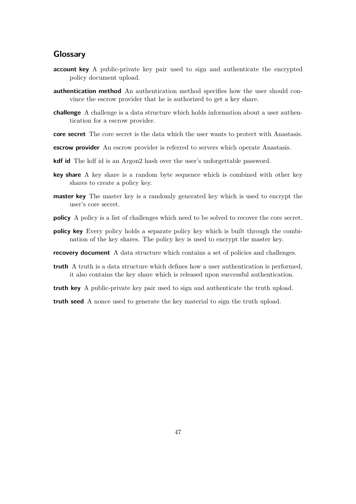# <span id="page-49-0"></span>**Glossary**

- **account key** A public-private key pair used to sign and authenticate the encrypted policy document upload.
- **authentication method** An authentication method specifies how the user should convince the escrow provider that he is authorized to get a key share.
- **challenge** A challenge is a data structure which holds information about a user authentication for a escrow provider.
- **core secret** The core secret is the data which the user wants to protect with Anastasis.
- **escrow provider** An escrow provider is referred to servers which operate Anastasis.
- **kdf id** The kdf id is an Argon2 hash over the user's unforgettable password.
- **key share** A key share is a random byte sequence which is combined with other key shares to create a policy key.
- **master key** The master key is a randomly generated key which is used to encrypt the user's core secret.
- **policy** A policy is a list of challenges which need to be solved to recover the core secret.
- **policy key** Every policy holds a separate policy key which is built through the combination of the key shares. The policy key is used to encrypt the master key.
- **recovery document** A data structure which contains a set of policies and challenges.
- **truth** A truth is a data structure which defines how a user authentication is performed, it also contains the key share which is released upon successful authentication.
- **truth key** A public-private key pair used to sign and authenticate the truth upload.

**truth seed** A nonce used to generate the key material to sign the truth upload.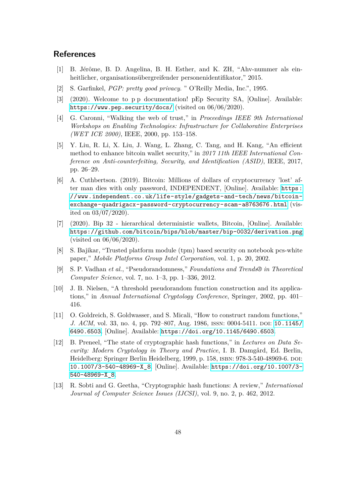# <span id="page-50-0"></span>**References**

- <span id="page-50-1"></span>[1] B. Jérôme, B. D. Angelina, B. H. Esther, and K. ZH, "Ahv-nummer als einheitlicher, organisationsübergreifender personenidentifikator," 2015.
- <span id="page-50-2"></span>[2] S. Garfinkel, *PGP: pretty good privacy*. " O'Reilly Media, Inc.", 1995.
- <span id="page-50-3"></span>[3] (2020). Welcome to p p documentation! pEp Security SA, [Online]. Available: <https://www.pep.security/docs/> (visited on 06/06/2020).
- <span id="page-50-4"></span>[4] G. Caronni, "Walking the web of trust," in *Proceedings IEEE 9th International Workshops on Enabling Technologies: Infrastructure for Collaborative Enterprises (WET ICE 2000)*, IEEE, 2000, pp. 153–158.
- <span id="page-50-5"></span>[5] Y. Liu, R. Li, X. Liu, J. Wang, L. Zhang, C. Tang, and H. Kang, "An efficient method to enhance bitcoin wallet security," in *2017 11th IEEE International Conference on Anti-counterfeiting, Security, and Identification (ASID)*, IEEE, 2017, pp. 26–29.
- <span id="page-50-6"></span>[6] A. Cuthbertson. (2019). Bitcoin: Millions of dollars of cryptocurrency 'lost' after man dies with only password, INDEPENDENT, [Online]. Available: [https:](https://www.independent.co.uk/life-style/gadgets-and-tech/news/bitcoin-exchange-quadrigacx-password-cryptocurrency-scam-a8763676.html) [//www.independent.co.uk/life-style/gadgets-and-tech/news/bitcoin](https://www.independent.co.uk/life-style/gadgets-and-tech/news/bitcoin-exchange-quadrigacx-password-cryptocurrency-scam-a8763676.html)[exchange-quadrigacx-password-cryptocurrency-scam-a8763676.html](https://www.independent.co.uk/life-style/gadgets-and-tech/news/bitcoin-exchange-quadrigacx-password-cryptocurrency-scam-a8763676.html) (visited on 03/07/2020).
- <span id="page-50-7"></span>[7] (2020). Bip 32 - hierarchical deterministic wallets, Bitcoin, [Online]. Available: <https://github.com/bitcoin/bips/blob/master/bip-0032/derivation.png> (visited on 06/06/2020).
- <span id="page-50-8"></span>[8] S. Bajikar, "Trusted platform module (tpm) based security on notebook pcs-white paper," *Mobile Platforms Group Intel Corporation*, vol. 1, p. 20, 2002.
- <span id="page-50-9"></span>[9] S. P. Vadhan *et al.*, "Pseudorandomness," *Foundations and Trends® in Theoretical Computer Science*, vol. 7, no. 1–3, pp. 1–336, 2012.
- <span id="page-50-10"></span>[10] J. B. Nielsen, "A threshold pseudorandom function construction and its applications," in *Annual International Cryptology Conference*, Springer, 2002, pp. 401– 416.
- <span id="page-50-11"></span>[11] O. Goldreich, S. Goldwasser, and S. Micali, "How to construct random functions," *J. ACM*, vol. 33, no. 4, pp. 792–807, Aug. 1986, ISSN: 0004-5411. DOI: [10.1145/](https://doi.org/10.1145/6490.6503) [6490.6503](https://doi.org/10.1145/6490.6503). [Online]. Available: <https://doi.org/10.1145/6490.6503>.
- <span id="page-50-12"></span>[12] B. Preneel, "The state of cryptographic hash functions," in *Lectures on Data Security: Modern Cryptology in Theory and Practice*, I. B. Damgård, Ed. Berlin, Heidelberg: Springer Berlin Heidelberg, 1999, p. 158, isbn: 978-3-540-48969-6. doi: [10.1007/3-540-48969-X\\_8](https://doi.org/10.1007/3-540-48969-X_8). [Online]. Available: [https://doi.org/10.1007/3-](https://doi.org/10.1007/3-540-48969-X_8) [540-48969-X\\_8](https://doi.org/10.1007/3-540-48969-X_8).
- <span id="page-50-13"></span>[13] R. Sobti and G. Geetha, "Cryptographic hash functions: A review," *International Journal of Computer Science Issues (IJCSI)*, vol. 9, no. 2, p. 462, 2012.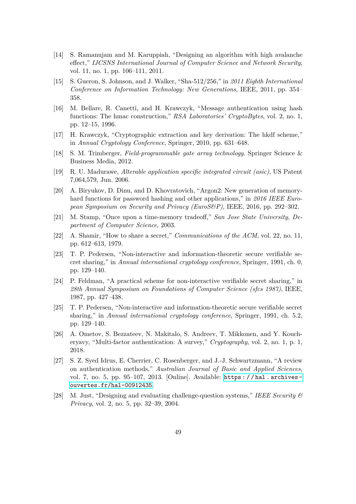- <span id="page-51-0"></span>[14] S. Ramanujam and M. Karuppiah, "Designing an algorithm with high avalanche effect," *IJCSNS International Journal of Computer Science and Network Security*, vol. 11, no. 1, pp. 106–111, 2011.
- <span id="page-51-1"></span>[15] S. Gueron, S. Johnson, and J. Walker, "Sha-512/256," in *2011 Eighth International Conference on Information Technology: New Generations*, IEEE, 2011, pp. 354– 358.
- <span id="page-51-2"></span>[16] M. Bellare, R. Canetti, and H. Krawczyk, "Message authentication using hash functions: The hmac construction," *RSA Laboratories' CryptoBytes*, vol. 2, no. 1, pp. 12–15, 1996.
- <span id="page-51-3"></span>[17] H. Krawczyk, "Cryptographic extraction and key derivation: The hkdf scheme," in *Annual Cryptology Conference*, Springer, 2010, pp. 631–648.
- <span id="page-51-4"></span>[18] S. M. Trimberger, *Field-programmable gate array technology*. Springer Science & Business Media, 2012.
- <span id="page-51-5"></span>[19] R. U. Madurawe, *Alterable application specific integrated circuit (asic)*, US Patent 7,064,579, Jun. 2006.
- <span id="page-51-6"></span>[20] A. Biryukov, D. Dinu, and D. Khovratovich, "Argon2: New generation of memoryhard functions for password hashing and other applications," in *2016 IEEE European Symposium on Security and Privacy (EuroS&P)*, IEEE, 2016, pp. 292–302.
- <span id="page-51-7"></span>[21] M. Stamp, "Once upon a time-memory tradeoff," *San Jose State University, Department of Computer Science*, 2003.
- <span id="page-51-8"></span>[22] A. Shamir, "How to share a secret," *Communications of the ACM*, vol. 22, no. 11, pp. 612–613, 1979.
- <span id="page-51-9"></span>[23] T. P. Pedersen, "Non-interactive and information-theoretic secure verifiable secret sharing," in *Annual international cryptology conference*, Springer, 1991, ch. 0, pp. 129–140.
- <span id="page-51-10"></span>[24] P. Feldman, "A practical scheme for non-interactive verifiable secret sharing," in *28th Annual Symposium on Foundations of Computer Science (sfcs 1987)*, IEEE, 1987, pp. 427–438.
- <span id="page-51-11"></span>[25] T. P. Pedersen, "Non-interactive and information-theoretic secure verifiable secret sharing," in *Annual international cryptology conference*, Springer, 1991, ch. 5.2, pp. 129–140.
- <span id="page-51-12"></span>[26] A. Ometov, S. Bezzateev, N. Makitalo, S. Andreev, T. Mikkonen, and Y. Koucheryavy, "Multi-factor authentication: A survey," *Cryptography*, vol. 2, no. 1, p. 1, 2018.
- <span id="page-51-13"></span>[27] S. Z. Syed Idrus, E. Cherrier, C. Rosenberger, and J.-J. Schwartzmann, "A review on authentication methods," *Australian Journal of Basic and Applied Sciences*, vol. 7, no. 5, pp. 95–107, 2013. [Online]. Available: [https : / / hal . archives](https://hal.archives-ouvertes.fr/hal-00912435)  [ouvertes.fr/hal-00912435](https://hal.archives-ouvertes.fr/hal-00912435).
- <span id="page-51-14"></span>[28] M. Just, "Designing and evaluating challenge-question systems," *IEEE Security & Privacy*, vol. 2, no. 5, pp. 32–39, 2004.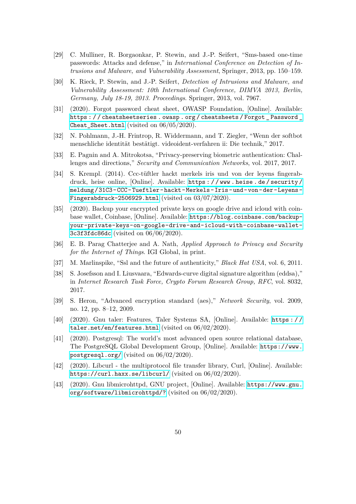- <span id="page-52-0"></span>[29] C. Mulliner, R. Borgaonkar, P. Stewin, and J.-P. Seifert, "Sms-based one-time passwords: Attacks and defense," in *International Conference on Detection of Intrusions and Malware, and Vulnerability Assessment*, Springer, 2013, pp. 150–159.
- <span id="page-52-1"></span>[30] K. Rieck, P. Stewin, and J.-P. Seifert, *Detection of Intrusions and Malware, and Vulnerability Assessment: 10th International Conference, DIMVA 2013, Berlin, Germany, July 18-19, 2013. Proceedings*. Springer, 2013, vol. 7967.
- <span id="page-52-2"></span>[31] (2020). Forgot password cheat sheet, OWASP Foundation, [Online]. Available: [https : / / cheatsheetseries . owasp . org / cheatsheets / Forgot \\_ Password \\_](https://cheatsheetseries.owasp.org/cheatsheets/Forgot_Password_Cheat_Sheet.html) [Cheat\\_Sheet.html](https://cheatsheetseries.owasp.org/cheatsheets/Forgot_Password_Cheat_Sheet.html) (visited on 06/05/2020).
- <span id="page-52-3"></span>[32] N. Pohlmann, J.-H. Frintrop, R. Widdermann, and T. Ziegler, "Wenn der softbot menschliche identität bestätigt. videoident-verfahren ii: Die technik," 2017.
- <span id="page-52-4"></span>[33] E. Pagnin and A. Mitrokotsa, "Privacy-preserving biometric authentication: Challenges and directions," *Security and Communication Networks*, vol. 2017, 2017.
- <span id="page-52-5"></span>[34] S. Krempl. (2014). Ccc-tüftler hackt merkels iris und von der leyens fingerabdruck, heise online, [Online]. Available: [https : / / www . heise . de / security /](https://www.heise.de/security/meldung/31C3-CCC-Tueftler-hackt-Merkels-Iris-und-von-der-Leyens-Fingerabdruck-2506929.html) [meldung/31C3-CCC-Tueftler-hackt-Merkels-Iris-und-von-der-Leyens-](https://www.heise.de/security/meldung/31C3-CCC-Tueftler-hackt-Merkels-Iris-und-von-der-Leyens-Fingerabdruck-2506929.html)[Fingerabdruck-2506929.html](https://www.heise.de/security/meldung/31C3-CCC-Tueftler-hackt-Merkels-Iris-und-von-der-Leyens-Fingerabdruck-2506929.html) (visited on 03/07/2020).
- <span id="page-52-6"></span>[35] (2020). Backup your encrypted private keys on google drive and icloud with coinbase wallet, Coinbase, [Online]. Available: [https://blog.coinbase.com/backup](https://blog.coinbase.com/backup-your-private-keys-on-google-drive-and-icloud-with-coinbase-wallet-3c3f3fdc86dc)[your-private-keys-on-google-drive-and-icloud-with-coinbase-wallet-](https://blog.coinbase.com/backup-your-private-keys-on-google-drive-and-icloud-with-coinbase-wallet-3c3f3fdc86dc)[3c3f3fdc86dc](https://blog.coinbase.com/backup-your-private-keys-on-google-drive-and-icloud-with-coinbase-wallet-3c3f3fdc86dc) (visited on 06/06/2020).
- <span id="page-52-7"></span>[36] E. B. Parag Chatterjee and A. Nath, *Applied Approach to Privacy and Security for the Internet of Things*. IGI Global, in print.
- <span id="page-52-8"></span>[37] M. Marlinspike, "Ssl and the future of authenticity," *Black Hat USA*, vol. 6, 2011.
- <span id="page-52-9"></span>[38] S. Josefsson and I. Liusvaara, "Edwards-curve digital signature algorithm (eddsa)," in *Internet Research Task Force, Crypto Forum Research Group, RFC*, vol. 8032, 2017.
- <span id="page-52-10"></span>[39] S. Heron, "Advanced encryption standard (aes)," *Network Security*, vol. 2009, no. 12, pp. 8–12, 2009.
- <span id="page-52-11"></span>[40] (2020). Gnu taler: Features, Taler Systems SA, [Online]. Available: [https : / /](https://taler.net/en/features.html) [taler.net/en/features.html](https://taler.net/en/features.html) (visited on 06/02/2020).
- <span id="page-52-12"></span>[41] (2020). Postgresql: The world's most advanced open source relational database, The PostgreSQL Global Development Group, [Online]. Available: [https://www.](https://www.postgresql.org/) [postgresql.org/](https://www.postgresql.org/) (visited on 06/02/2020).
- <span id="page-52-13"></span>[42] (2020). Libcurl - the multiprotocol file transfer library, Curl, [Online]. Available: <https://curl.haxx.se/libcurl/> (visited on 06/02/2020).
- <span id="page-52-14"></span>[43] (2020). Gnu libmicrohttpd, GNU project, [Online]. Available: [https://www.gnu.](https://www.gnu.org/software/libmicrohttpd/?) [org/software/libmicrohttpd/?](https://www.gnu.org/software/libmicrohttpd/?) (visited on 06/02/2020).